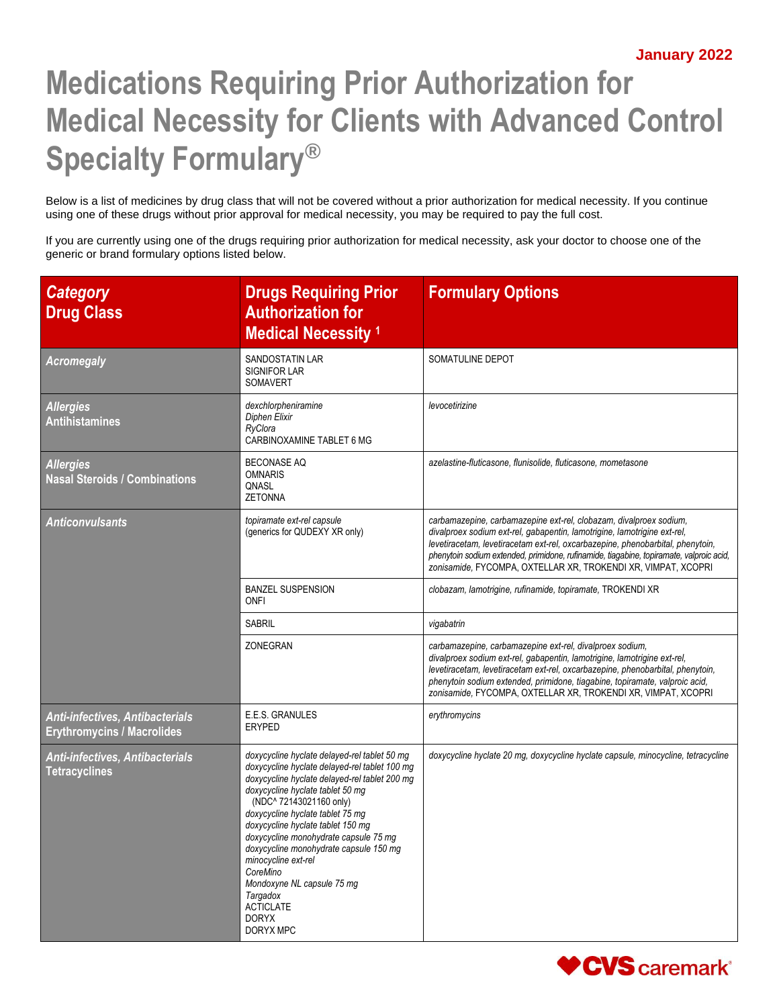## **Medications Requiring Prior Authorization for Medical Necessity for Clients with Advanced Control Specialty Formulary®**

Below is a list of medicines by drug class that will not be covered without a prior authorization for medical necessity. If you continue using one of these drugs without prior approval for medical necessity, you may be required to pay the full cost.

If you are currently using one of the drugs requiring prior authorization for medical necessity, ask your doctor to choose one of the generic or brand formulary options listed below.

| <b>Category</b><br><b>Drug Class</b>                                        | <b>Drugs Requiring Prior</b><br><b>Authorization for</b><br><b>Medical Necessity 1</b>                                                                                                                                                                                                                                                                                                                                                                                                                  | <b>Formulary Options</b>                                                                                                                                                                                                                                                                                                                                                                     |
|-----------------------------------------------------------------------------|---------------------------------------------------------------------------------------------------------------------------------------------------------------------------------------------------------------------------------------------------------------------------------------------------------------------------------------------------------------------------------------------------------------------------------------------------------------------------------------------------------|----------------------------------------------------------------------------------------------------------------------------------------------------------------------------------------------------------------------------------------------------------------------------------------------------------------------------------------------------------------------------------------------|
| <b>Acromegaly</b>                                                           | <b>SANDOSTATIN LAR</b><br><b>SIGNIFOR LAR</b><br>SOMAVERT                                                                                                                                                                                                                                                                                                                                                                                                                                               | SOMATULINE DEPOT                                                                                                                                                                                                                                                                                                                                                                             |
| <b>Allergies</b><br><b>Antihistamines</b>                                   | dexchlorpheniramine<br><b>Diphen Elixir</b><br>RyClora<br>CARBINOXAMINE TABLET 6 MG                                                                                                                                                                                                                                                                                                                                                                                                                     | levocetirizine                                                                                                                                                                                                                                                                                                                                                                               |
| <b>Allergies</b><br><b>Nasal Steroids / Combinations</b>                    | <b>BECONASE AQ</b><br><b>OMNARIS</b><br>QNASL<br><b>ZETONNA</b>                                                                                                                                                                                                                                                                                                                                                                                                                                         | azelastine-fluticasone, flunisolide, fluticasone, mometasone                                                                                                                                                                                                                                                                                                                                 |
| <b>Anticonvulsants</b>                                                      | topiramate ext-rel capsule<br>(generics for QUDEXY XR only)                                                                                                                                                                                                                                                                                                                                                                                                                                             | carbamazepine, carbamazepine ext-rel, clobazam, divalproex sodium,<br>divalproex sodium ext-rel, gabapentin, lamotrigine, lamotrigine ext-rel,<br>levetiracetam, levetiracetam ext-rel, oxcarbazepine, phenobarbital, phenytoin,<br>phenytoin sodium extended, primidone, rufinamide, tiagabine, topiramate, valproic acid,<br>zonisamide, FYCOMPA, OXTELLAR XR, TROKENDI XR, VIMPAT, XCOPRI |
|                                                                             | <b>BANZEL SUSPENSION</b><br><b>ONFI</b>                                                                                                                                                                                                                                                                                                                                                                                                                                                                 | clobazam, lamotrigine, rufinamide, topiramate, TROKENDI XR                                                                                                                                                                                                                                                                                                                                   |
|                                                                             | SABRIL                                                                                                                                                                                                                                                                                                                                                                                                                                                                                                  | vigabatrin                                                                                                                                                                                                                                                                                                                                                                                   |
|                                                                             | ZONEGRAN                                                                                                                                                                                                                                                                                                                                                                                                                                                                                                | carbamazepine, carbamazepine ext-rel, divalproex sodium,<br>divalproex sodium ext-rel, gabapentin, lamotrigine, lamotrigine ext-rel,<br>levetiracetam, levetiracetam ext-rel, oxcarbazepine, phenobarbital, phenytoin,<br>phenytoin sodium extended, primidone, tiagabine, topiramate, valproic acid,<br>zonisamide, FYCOMPA, OXTELLAR XR, TROKENDI XR, VIMPAT, XCOPRI                       |
| <b>Anti-infectives, Antibacterials</b><br><b>Erythromycins / Macrolides</b> | E.E.S. GRANULES<br>ERYPED                                                                                                                                                                                                                                                                                                                                                                                                                                                                               | erythromycins                                                                                                                                                                                                                                                                                                                                                                                |
| Anti-infectives, Antibacterials<br><b>Tetracyclines</b>                     | doxycycline hyclate delayed-rel tablet 50 mg<br>doxycycline hyclate delayed-rel tablet 100 mg<br>doxycycline hyclate delayed-rel tablet 200 mg<br>doxycycline hyclate tablet 50 mg<br>(NDC^ 72143021160 only)<br>doxycycline hyclate tablet 75 mg<br>doxycycline hyclate tablet 150 mg<br>doxycycline monohydrate capsule 75 mg<br>doxycycline monohydrate capsule 150 mg<br>minocycline ext-rel<br>CoreMino<br>Mondoxyne NL capsule 75 mg<br>Targadox<br><b>ACTICLATE</b><br><b>DORYX</b><br>DORYX MPC | doxycycline hyclate 20 mg, doxycycline hyclate capsule, minocycline, tetracycline                                                                                                                                                                                                                                                                                                            |

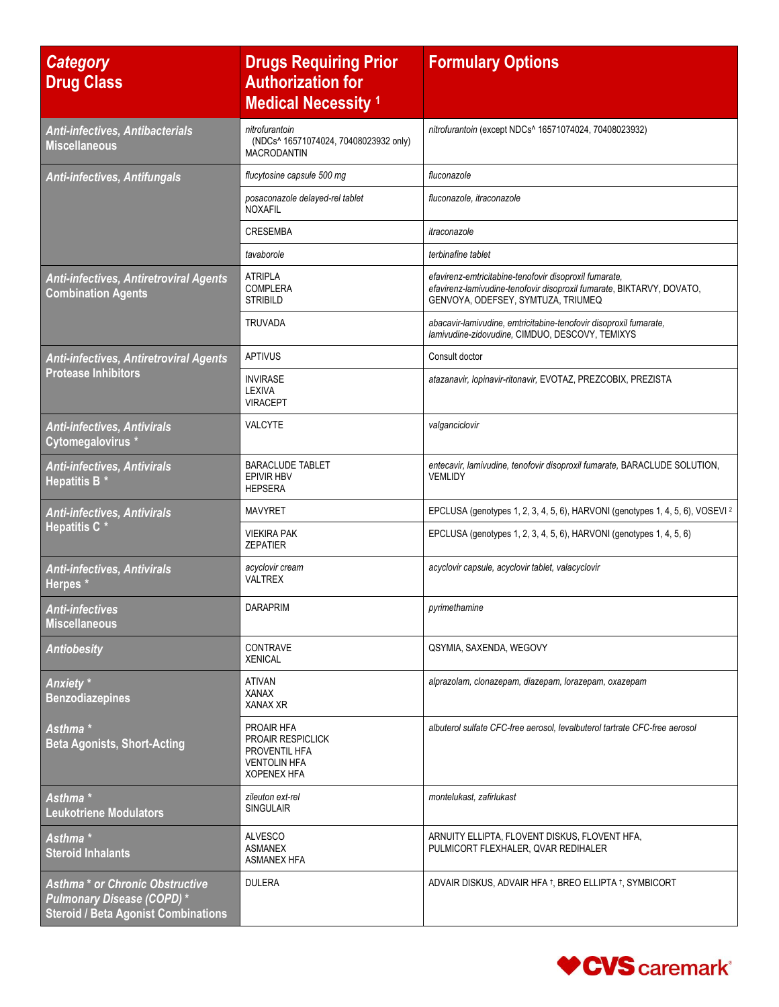| <b>Category</b><br><b>Drug Class</b>                                                                              | <b>Drugs Requiring Prior</b><br><b>Authorization for</b><br><b>Medical Necessity 1</b>               | <b>Formulary Options</b>                                                                                                                                              |
|-------------------------------------------------------------------------------------------------------------------|------------------------------------------------------------------------------------------------------|-----------------------------------------------------------------------------------------------------------------------------------------------------------------------|
| Anti-infectives, Antibacterials<br><b>Miscellaneous</b>                                                           | nitrofurantoin<br>(NDCs^ 16571074024, 70408023932 only)<br><b>MACRODANTIN</b>                        | nitrofurantoin (except NDCs^ 16571074024, 70408023932)                                                                                                                |
| <b>Anti-infectives, Antifungals</b>                                                                               | flucytosine capsule 500 mg                                                                           | fluconazole                                                                                                                                                           |
|                                                                                                                   | posaconazole delayed-rel tablet<br><b>NOXAFIL</b>                                                    | fluconazole, itraconazole                                                                                                                                             |
|                                                                                                                   | <b>CRESEMBA</b>                                                                                      | itraconazole                                                                                                                                                          |
|                                                                                                                   | tavaborole                                                                                           | terbinafine tablet                                                                                                                                                    |
| <b>Anti-infectives, Antiretroviral Agents</b><br><b>Combination Agents</b>                                        | <b>ATRIPLA</b><br><b>COMPLERA</b><br><b>STRIBILD</b>                                                 | efavirenz-emtricitabine-tenofovir disoproxil fumarate,<br>efavirenz-lamivudine-tenofovir disoproxil fumarate, BIKTARVY, DOVATO,<br>GENVOYA, ODEFSEY, SYMTUZA, TRIUMEQ |
|                                                                                                                   | <b>TRUVADA</b>                                                                                       | abacavir-lamivudine, emtricitabine-tenofovir disoproxil fumarate,<br>lamivudine-zidovudine, CIMDUO, DESCOVY, TEMIXYS                                                  |
| <b>Anti-infectives, Antiretroviral Agents</b>                                                                     | <b>APTIVUS</b>                                                                                       | Consult doctor                                                                                                                                                        |
| <b>Protease Inhibitors</b>                                                                                        | <b>INVIRASE</b><br>LEXIVA<br><b>VIRACEPT</b>                                                         | atazanavir, lopinavir-ritonavir, EVOTAZ, PREZCOBIX, PREZISTA                                                                                                          |
| <b>Anti-infectives, Antivirals</b><br>Cytomegalovirus *                                                           | <b>VALCYTE</b>                                                                                       | valganciclovir                                                                                                                                                        |
| <b>Anti-infectives, Antivirals</b><br><b>Hepatitis B *</b>                                                        | <b>BARACLUDE TABLET</b><br><b>EPIVIR HBV</b><br><b>HEPSERA</b>                                       | entecavir, lamivudine, tenofovir disoproxil fumarate, BARACLUDE SOLUTION,<br>VEMLIDY                                                                                  |
| <b>Anti-infectives, Antivirals</b>                                                                                | <b>MAVYRET</b>                                                                                       | EPCLUSA (genotypes 1, 2, 3, 4, 5, 6), HARVONI (genotypes 1, 4, 5, 6), VOSEVI <sup>2</sup>                                                                             |
| <b>Hepatitis C *</b>                                                                                              | <b>VIEKIRA PAK</b><br><b>ZEPATIER</b>                                                                | EPCLUSA (genotypes 1, 2, 3, 4, 5, 6), HARVONI (genotypes 1, 4, 5, 6)                                                                                                  |
| <b>Anti-infectives, Antivirals</b><br>Herpes *                                                                    | acyclovir cream<br><b>VALTREX</b>                                                                    | acyclovir capsule, acyclovir tablet, valacyclovir                                                                                                                     |
| <b>Anti-infectives</b><br><b>Miscellaneous</b>                                                                    | <b>DARAPRIM</b>                                                                                      | pyrimethamine                                                                                                                                                         |
| <b>Antiobesity</b>                                                                                                | <b>CONTRAVE</b><br><b>XENICAL</b>                                                                    | QSYMIA, SAXENDA, WEGOVY                                                                                                                                               |
| Anxiety <sup>*</sup><br><b>Benzodiazepines</b>                                                                    | <b>ATIVAN</b><br><b>XANAX</b><br><b>XANAX XR</b>                                                     | alprazolam, clonazepam, diazepam, lorazepam, oxazepam                                                                                                                 |
| Asthma <sup>*</sup><br><b>Beta Agonists, Short-Acting</b>                                                         | PROAIR HFA<br><b>PROAIR RESPICLICK</b><br>PROVENTIL HFA<br><b>VENTOLIN HFA</b><br><b>XOPENEX HFA</b> | albuterol sulfate CFC-free aerosol, levalbuterol tartrate CFC-free aerosol                                                                                            |
| Asthma *<br><b>Leukotriene Modulators</b>                                                                         | zileuton ext-rel<br><b>SINGULAIR</b>                                                                 | montelukast, zafirlukast                                                                                                                                              |
| Asthma *<br><b>Steroid Inhalants</b>                                                                              | <b>ALVESCO</b><br><b>ASMANEX</b><br><b>ASMANEX HFA</b>                                               | ARNUITY ELLIPTA, FLOVENT DISKUS, FLOVENT HFA,<br>PULMICORT FLEXHALER, QVAR REDIHALER                                                                                  |
| Asthma * or Chronic Obstructive<br><b>Pulmonary Disease (COPD)*</b><br><b>Steroid / Beta Agonist Combinations</b> | <b>DULERA</b>                                                                                        | ADVAIR DISKUS, ADVAIR HFA 1, BREO ELLIPTA 1, SYMBICORT                                                                                                                |

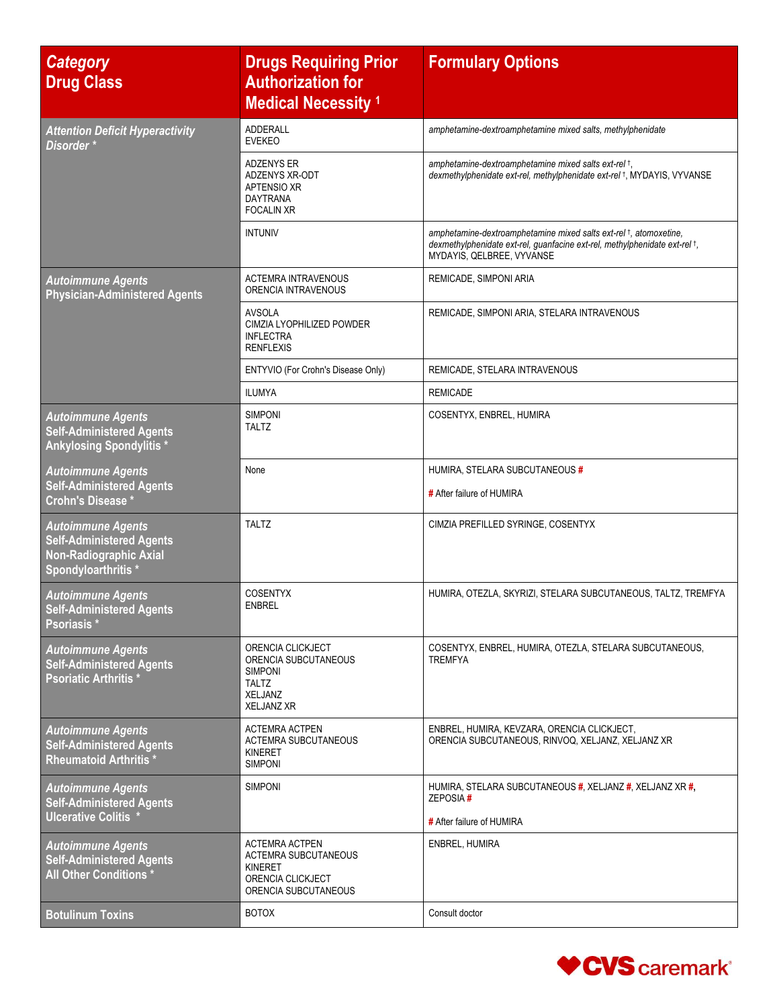| <b>Category</b><br><b>Drug Class</b>                                                                                | <b>Drugs Requiring Prior</b><br><b>Authorization for</b><br><b>Medical Necessity 1</b>                       | <b>Formulary Options</b>                                                                                                                                                     |
|---------------------------------------------------------------------------------------------------------------------|--------------------------------------------------------------------------------------------------------------|------------------------------------------------------------------------------------------------------------------------------------------------------------------------------|
| <b>Attention Deficit Hyperactivity</b><br>Disorder*                                                                 | <b>ADDERALL</b><br><b>EVEKEO</b>                                                                             | amphetamine-dextroamphetamine mixed salts, methylphenidate                                                                                                                   |
|                                                                                                                     | ADZENYS ER<br>ADZENYS XR-ODT<br>APTENSIO XR<br>DAYTRANA<br><b>FOCALIN XR</b>                                 | amphetamine-dextroamphetamine mixed salts ext-rel +,<br>dexmethylphenidate ext-rel, methylphenidate ext-rel 1, MYDAYIS, VYVANSE                                              |
|                                                                                                                     | <b>INTUNIV</b>                                                                                               | amphetamine-dextroamphetamine mixed salts ext-rel +, atomoxetine,<br>dexmethylphenidate ext-rel, guanfacine ext-rel, methylphenidate ext-rel t,<br>MYDAYIS, QELBREE, VYVANSE |
| <b>Autoimmune Agents</b><br><b>Physician-Administered Agents</b>                                                    | <b>ACTEMRA INTRAVENOUS</b><br>ORENCIA INTRAVENOUS                                                            | REMICADE, SIMPONI ARIA                                                                                                                                                       |
|                                                                                                                     | <b>AVSOLA</b><br>CIMZIA LYOPHILIZED POWDER<br><b>INFLECTRA</b><br><b>RENFLEXIS</b>                           | REMICADE, SIMPONI ARIA, STELARA INTRAVENOUS                                                                                                                                  |
|                                                                                                                     | ENTYVIO (For Crohn's Disease Only)                                                                           | REMICADE, STELARA INTRAVENOUS                                                                                                                                                |
|                                                                                                                     | <b>ILUMYA</b>                                                                                                | <b>REMICADE</b>                                                                                                                                                              |
| <b>Autoimmune Agents</b><br><b>Self-Administered Agents</b><br><b>Ankylosing Spondylitis *</b>                      | <b>SIMPONI</b><br><b>TALTZ</b>                                                                               | COSENTYX, ENBREL, HUMIRA                                                                                                                                                     |
| <b>Autoimmune Agents</b><br><b>Self-Administered Agents</b><br>Crohn's Disease *                                    | None                                                                                                         | HUMIRA, STELARA SUBCUTANEOUS #<br># After failure of HUMIRA                                                                                                                  |
| <b>Autoimmune Agents</b><br><b>Self-Administered Agents</b><br><b>Non-Radiographic Axial</b><br>Spondyloarthritis * | <b>TALTZ</b>                                                                                                 | CIMZIA PREFILLED SYRINGE, COSENTYX                                                                                                                                           |
| <b>Autoimmune Agents</b><br><b>Self-Administered Agents</b><br>Psoriasis *                                          | <b>COSENTYX</b><br><b>ENBREL</b>                                                                             | HUMIRA, OTEZLA, SKYRIZI, STELARA SUBCUTANEOUS, TALTZ, TREMFYA                                                                                                                |
| <b>Autoimmune Agents</b><br><b>Self-Administered Agents</b><br><b>Psoriatic Arthritis*</b>                          | ORENCIA CLICKJECT<br>ORENCIA SUBCUTANEOUS<br><b>SIMPONI</b><br>TALTZ<br><b>XELJANZ</b><br><b>XELJANZ XR</b>  | COSENTYX, ENBREL, HUMIRA, OTEZLA, STELARA SUBCUTANEOUS,<br><b>TREMFYA</b>                                                                                                    |
| <b>Autoimmune Agents</b><br><b>Self-Administered Agents</b><br><b>Rheumatoid Arthritis *</b>                        | <b>ACTEMRA ACTPEN</b><br><b>ACTEMRA SUBCUTANEOUS</b><br>KINERET<br><b>SIMPONI</b>                            | ENBREL, HUMIRA, KEVZARA, ORENCIA CLICKJECT,<br>ORENCIA SUBCUTANEOUS, RINVOQ, XELJANZ, XELJANZ XR                                                                             |
| <b>Autoimmune Agents</b><br><b>Self-Administered Agents</b><br><b>Ulcerative Colitis *</b>                          | <b>SIMPONI</b>                                                                                               | HUMIRA, STELARA SUBCUTANEOUS #, XELJANZ #, XELJANZ XR #,<br>ZEPOSIA#<br># After failure of HUMIRA                                                                            |
| <b>Autoimmune Agents</b><br><b>Self-Administered Agents</b><br>All Other Conditions *                               | <b>ACTEMRA ACTPEN</b><br><b>ACTEMRA SUBCUTANEOUS</b><br>KINERET<br>ORENCIA CLICKJECT<br>ORENCIA SUBCUTANEOUS | ENBREL, HUMIRA                                                                                                                                                               |
| <b>Botulinum Toxins</b>                                                                                             | <b>BOTOX</b>                                                                                                 | Consult doctor                                                                                                                                                               |

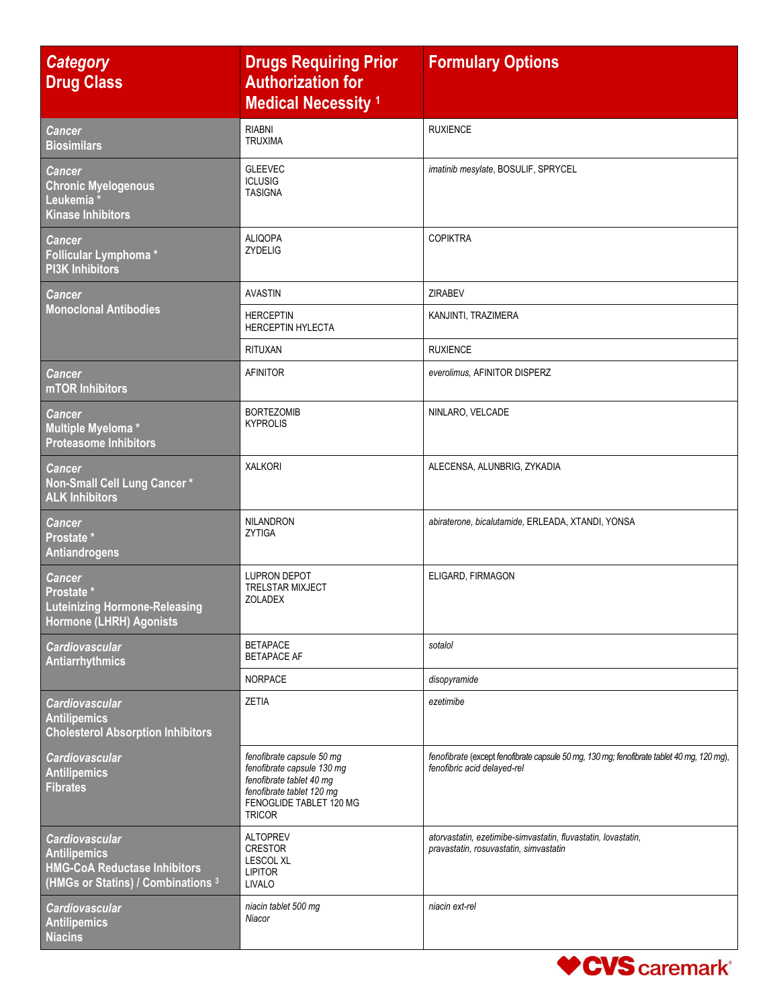| <b>Category</b><br><b>Drug Class</b>                                                                                      | <b>Drugs Requiring Prior</b><br><b>Authorization for</b><br><b>Medical Necessity 1</b>                                                                       | <b>Formulary Options</b>                                                                                                 |
|---------------------------------------------------------------------------------------------------------------------------|--------------------------------------------------------------------------------------------------------------------------------------------------------------|--------------------------------------------------------------------------------------------------------------------------|
| <b>Cancer</b><br><b>Biosimilars</b>                                                                                       | <b>RIABNI</b><br><b>TRUXIMA</b>                                                                                                                              | <b>RUXIENCE</b>                                                                                                          |
| <b>Cancer</b><br><b>Chronic Myelogenous</b><br>Leukemia*<br><b>Kinase Inhibitors</b>                                      | <b>GLEEVEC</b><br><b>ICLUSIG</b><br><b>TASIGNA</b>                                                                                                           | imatinib mesylate, BOSULIF, SPRYCEL                                                                                      |
| <b>Cancer</b><br>Follicular Lymphoma*<br><b>PI3K Inhibitors</b>                                                           | <b>ALIQOPA</b><br><b>ZYDELIG</b>                                                                                                                             | <b>COPIKTRA</b>                                                                                                          |
| <b>Cancer</b>                                                                                                             | <b>AVASTIN</b>                                                                                                                                               | <b>ZIRABEV</b>                                                                                                           |
| <b>Monoclonal Antibodies</b>                                                                                              | <b>HERCEPTIN</b><br><b>HERCEPTIN HYLECTA</b>                                                                                                                 | KANJINTI, TRAZIMERA                                                                                                      |
|                                                                                                                           | <b>RITUXAN</b>                                                                                                                                               | <b>RUXIENCE</b>                                                                                                          |
| <b>Cancer</b><br>mTOR Inhibitors                                                                                          | <b>AFINITOR</b>                                                                                                                                              | everolimus, AFINITOR DISPERZ                                                                                             |
| <b>Cancer</b><br>Multiple Myeloma*<br><b>Proteasome Inhibitors</b>                                                        | <b>BORTEZOMIB</b><br><b>KYPROLIS</b>                                                                                                                         | NINLARO, VELCADE                                                                                                         |
| <b>Cancer</b><br>Non-Small Cell Lung Cancer*<br><b>ALK Inhibitors</b>                                                     | <b>XALKORI</b>                                                                                                                                               | ALECENSA, ALUNBRIG, ZYKADIA                                                                                              |
| <b>Cancer</b><br>Prostate *<br><b>Antiandrogens</b>                                                                       | NILANDRON<br>ZYTIGA                                                                                                                                          | abiraterone, bicalutamide, ERLEADA, XTANDI, YONSA                                                                        |
| <b>Cancer</b><br>Prostate *<br><b>Luteinizing Hormone-Releasing</b><br>Hormone (LHRH) Agonists                            | <b>LUPRON DEPOT</b><br><b>TRELSTAR MIXJECT</b><br><b>ZOLADEX</b>                                                                                             | ELIGARD, FIRMAGON                                                                                                        |
| <b>Cardiovascular</b><br><b>Antiarrhythmics</b>                                                                           | <b>BETAPACE</b><br><b>BETAPACE AF</b>                                                                                                                        | sotalol                                                                                                                  |
|                                                                                                                           | <b>NORPACE</b>                                                                                                                                               | disopyramide                                                                                                             |
| <b>Cardiovascular</b><br><b>Antilipemics</b><br><b>Cholesterol Absorption Inhibitors</b>                                  | <b>ZETIA</b>                                                                                                                                                 | ezetimibe                                                                                                                |
| <b>Cardiovascular</b><br><b>Antilipemics</b><br><b>Fibrates</b>                                                           | fenofibrate capsule 50 mg<br>fenofibrate capsule 130 mg<br>fenofibrate tablet 40 mg<br>fenofibrate tablet 120 mg<br>FENOGLIDE TABLET 120 MG<br><b>TRICOR</b> | fenofibrate (except fenofibrate capsule 50 mg, 130 mg; fenofibrate tablet 40 mg, 120 mg),<br>fenofibric acid delayed-rel |
| <b>Cardiovascular</b><br><b>Antilipemics</b><br><b>HMG-CoA Reductase Inhibitors</b><br>(HMGs or Statins) / Combinations 3 | <b>ALTOPREV</b><br><b>CRESTOR</b><br><b>LESCOL XL</b><br><b>LIPITOR</b><br><b>LIVALO</b>                                                                     | atorvastatin, ezetimibe-simvastatin, fluvastatin, lovastatin,<br>pravastatin, rosuvastatin, simvastatin                  |
| <b>Cardiovascular</b><br><b>Antilipemics</b><br><b>Niacins</b>                                                            | niacin tablet 500 mg<br>Niacor                                                                                                                               | niacin ext-rel                                                                                                           |

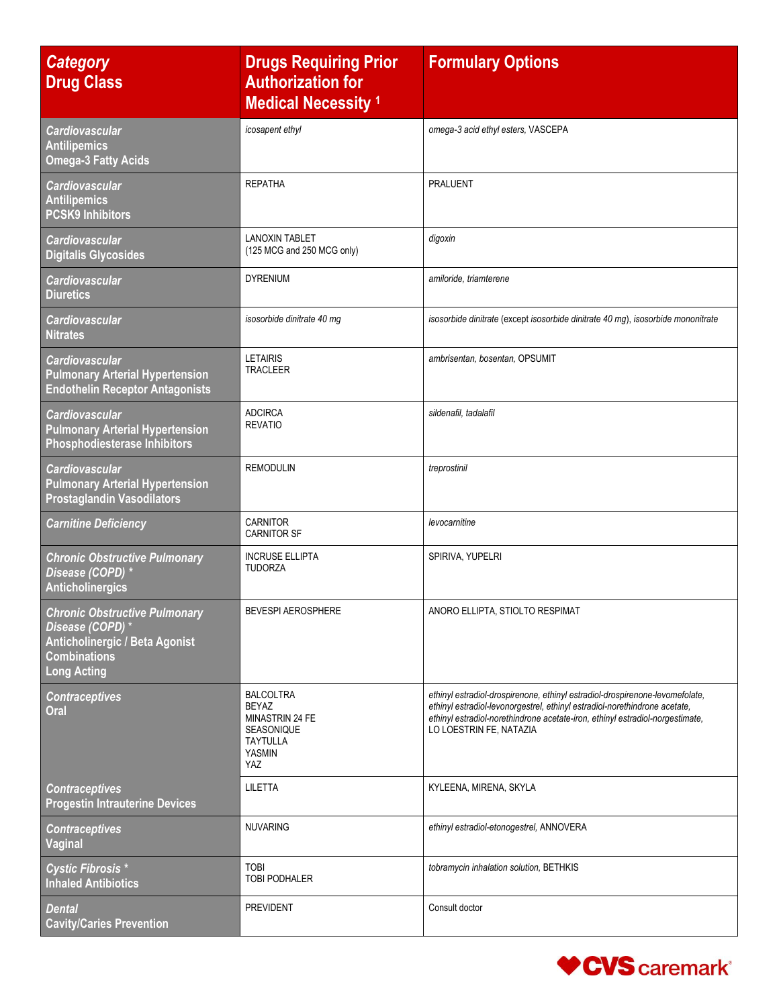| <b>Category</b><br><b>Drug Class</b>                                                                                                   | <b>Drugs Requiring Prior</b><br><b>Authorization for</b><br><b>Medical Necessity 1</b>                              | <b>Formulary Options</b>                                                                                                                                                                                                                                               |
|----------------------------------------------------------------------------------------------------------------------------------------|---------------------------------------------------------------------------------------------------------------------|------------------------------------------------------------------------------------------------------------------------------------------------------------------------------------------------------------------------------------------------------------------------|
| <b>Cardiovascular</b><br><b>Antilipemics</b><br><b>Omega-3 Fatty Acids</b>                                                             | icosapent ethyl                                                                                                     | omega-3 acid ethyl esters, VASCEPA                                                                                                                                                                                                                                     |
| <b>Cardiovascular</b><br><b>Antilipemics</b><br><b>PCSK9 Inhibitors</b>                                                                | <b>REPATHA</b>                                                                                                      | <b>PRALUENT</b>                                                                                                                                                                                                                                                        |
| <b>Cardiovascular</b><br><b>Digitalis Glycosides</b>                                                                                   | <b>LANOXIN TABLET</b><br>(125 MCG and 250 MCG only)                                                                 | digoxin                                                                                                                                                                                                                                                                |
| <b>Cardiovascular</b><br><b>Diuretics</b>                                                                                              | <b>DYRENIUM</b>                                                                                                     | amiloride, triamterene                                                                                                                                                                                                                                                 |
| <b>Cardiovascular</b><br><b>Nitrates</b>                                                                                               | isosorbide dinitrate 40 mg                                                                                          | isosorbide dinitrate (except isosorbide dinitrate 40 mg), isosorbide mononitrate                                                                                                                                                                                       |
| <b>Cardiovascular</b><br><b>Pulmonary Arterial Hypertension</b><br><b>Endothelin Receptor Antagonists</b>                              | <b>LETAIRIS</b><br><b>TRACLEER</b>                                                                                  | ambrisentan, bosentan, OPSUMIT                                                                                                                                                                                                                                         |
| <b>Cardiovascular</b><br><b>Pulmonary Arterial Hypertension</b><br><b>Phosphodiesterase Inhibitors</b>                                 | <b>ADCIRCA</b><br><b>REVATIO</b>                                                                                    | sildenafil, tadalafil                                                                                                                                                                                                                                                  |
| <b>Cardiovascular</b><br><b>Pulmonary Arterial Hypertension</b><br><b>Prostaglandin Vasodilators</b>                                   | REMODULIN                                                                                                           | treprostinil                                                                                                                                                                                                                                                           |
| <b>Carnitine Deficiency</b>                                                                                                            | <b>CARNITOR</b><br><b>CARNITOR SF</b>                                                                               | levocarnitine                                                                                                                                                                                                                                                          |
| <b>Chronic Obstructive Pulmonary</b><br>Disease (COPD) *<br><b>Anticholinergics</b>                                                    | <b>INCRUSE ELLIPTA</b><br><b>TUDORZA</b>                                                                            | SPIRIVA, YUPELRI                                                                                                                                                                                                                                                       |
| <b>Chronic Obstructive Pulmonary</b><br>Disease (COPD)*<br>Anticholinergic / Beta Agonist<br><b>Combinations</b><br><b>Long Acting</b> | <b>BEVESPI AEROSPHERE</b>                                                                                           | ANORO ELLIPTA, STIOLTO RESPIMAT                                                                                                                                                                                                                                        |
| <b>Contraceptives</b><br>Oral                                                                                                          | <b>BALCOLTRA</b><br><b>BEYAZ</b><br>MINASTRIN 24 FE<br><b>SEASONIQUE</b><br><b>TAYTULLA</b><br><b>YASMIN</b><br>YAZ | ethinyl estradiol-drospirenone, ethinyl estradiol-drospirenone-levomefolate,<br>ethinyl estradiol-levonorgestrel, ethinyl estradiol-norethindrone acetate,<br>ethinyl estradiol-norethindrone acetate-iron, ethinyl estradiol-norgestimate,<br>LO LOESTRIN FE, NATAZIA |
| <b>Contraceptives</b><br><b>Progestin Intrauterine Devices</b>                                                                         | <b>LILETTA</b>                                                                                                      | KYLEENA, MIRENA, SKYLA                                                                                                                                                                                                                                                 |
| <b>Contraceptives</b><br><b>Vaginal</b>                                                                                                | <b>NUVARING</b>                                                                                                     | ethinyl estradiol-etonogestrel, ANNOVERA                                                                                                                                                                                                                               |
| <b>Cystic Fibrosis *</b><br><b>Inhaled Antibiotics</b>                                                                                 | <b>TOBI</b><br><b>TOBI PODHALER</b>                                                                                 | tobramycin inhalation solution, BETHKIS                                                                                                                                                                                                                                |
| <b>Dental</b><br><b>Cavity/Caries Prevention</b>                                                                                       | <b>PREVIDENT</b>                                                                                                    | Consult doctor                                                                                                                                                                                                                                                         |

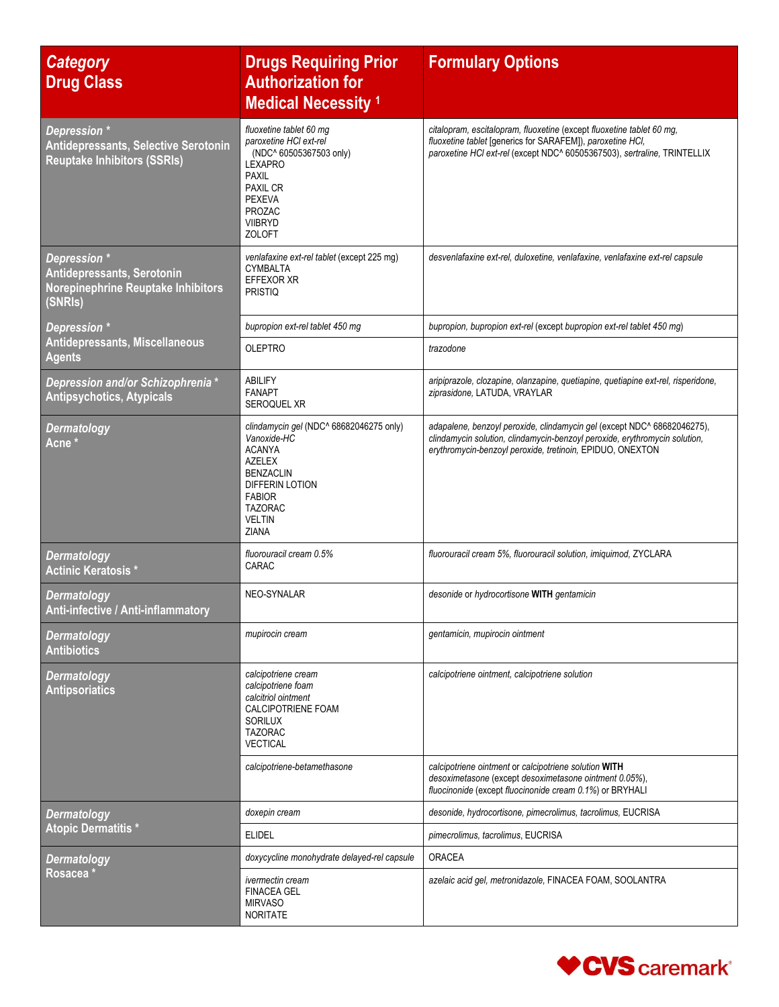| <b>Category</b><br><b>Drug Class</b>                                                              | <b>Drugs Requiring Prior</b><br><b>Authorization for</b><br><b>Medical Necessity 1</b>                                                                                                                 | <b>Formulary Options</b>                                                                                                                                                                                           |
|---------------------------------------------------------------------------------------------------|--------------------------------------------------------------------------------------------------------------------------------------------------------------------------------------------------------|--------------------------------------------------------------------------------------------------------------------------------------------------------------------------------------------------------------------|
| Depression *<br><b>Antidepressants, Selective Serotonin</b><br><b>Reuptake Inhibitors (SSRIs)</b> | fluoxetine tablet 60 mg<br>paroxetine HCI ext-rel<br>(NDC^ 60505367503 only)<br><b>LEXAPRO</b><br><b>PAXIL</b><br><b>PAXIL CR</b><br><b>PEXEVA</b><br><b>PROZAC</b><br><b>VIIBRYD</b><br><b>ZOLOFT</b> | citalopram, escitalopram, fluoxetine (except fluoxetine tablet 60 mg,<br>fluoxetine tablet [generics for SARAFEM]), paroxetine HCl,<br>paroxetine HCl ext-rel (except NDC^ 60505367503), sertraline, TRINTELLIX    |
| Depression *<br>Antidepressants, Serotonin<br>Norepinephrine Reuptake Inhibitors<br>(SNRIs)       | venlafaxine ext-rel tablet (except 225 mg)<br><b>CYMBALTA</b><br><b>EFFEXOR XR</b><br><b>PRISTIQ</b>                                                                                                   | desvenlafaxine ext-rel, duloxetine, venlafaxine, venlafaxine ext-rel capsule                                                                                                                                       |
| Depression *                                                                                      | bupropion ext-rel tablet 450 mg                                                                                                                                                                        | bupropion, bupropion ext-rel (except bupropion ext-rel tablet 450 mg)                                                                                                                                              |
| Antidepressants, Miscellaneous<br><b>Agents</b>                                                   | <b>OLEPTRO</b>                                                                                                                                                                                         | trazodone                                                                                                                                                                                                          |
| Depression and/or Schizophrenia *<br><b>Antipsychotics, Atypicals</b>                             | <b>ABILIFY</b><br><b>FANAPT</b><br>SEROQUEL XR                                                                                                                                                         | aripiprazole, clozapine, olanzapine, quetiapine, quetiapine ext-rel, risperidone,<br>ziprasidone, LATUDA, VRAYLAR                                                                                                  |
| <b>Dermatology</b><br>Acne <sup>*</sup>                                                           | clindamycin gel (NDC^ 68682046275 only)<br>Vanoxide-HC<br><b>ACANYA</b><br><b>AZELEX</b><br><b>BENZACLIN</b><br><b>DIFFERIN LOTION</b><br><b>FABIOR</b><br><b>TAZORAC</b><br><b>VELTIN</b><br>ZIANA    | adapalene, benzoyl peroxide, clindamycin gel (except NDC^ 68682046275),<br>clindamycin solution, clindamycin-benzoyl peroxide, erythromycin solution,<br>erythromycin-benzoyl peroxide, tretinoin, EPIDUO, ONEXTON |
| <b>Dermatology</b><br><b>Actinic Keratosis*</b>                                                   | fluorouracil cream 0.5%<br>CARAC                                                                                                                                                                       | fluorouracil cream 5%, fluorouracil solution, imiquimod, ZYCLARA                                                                                                                                                   |
| <b>Dermatology</b><br>Anti-infective / Anti-inflammatory                                          | NEO-SYNALAR                                                                                                                                                                                            | desonide or hydrocortisone WITH gentamicin                                                                                                                                                                         |
| <b>Dermatology</b><br><b>Antibiotics</b>                                                          | mupirocin cream                                                                                                                                                                                        | gentamicin, mupirocin ointment                                                                                                                                                                                     |
| <b>Dermatology</b><br><b>Antipsoriatics</b>                                                       | calcipotriene cream<br>calcipotriene foam<br>calcitriol ointment<br><b>CALCIPOTRIENE FOAM</b><br><b>SORILUX</b><br><b>TAZORAC</b><br><b>VECTICAL</b>                                                   | calcipotriene ointment, calcipotriene solution                                                                                                                                                                     |
|                                                                                                   | calcipotriene-betamethasone                                                                                                                                                                            | calcipotriene ointment or calcipotriene solution WITH<br>desoximetasone (except desoximetasone ointment 0.05%),<br>fluocinonide (except fluocinonide cream 0.1%) or BRYHALI                                        |
| <b>Dermatology</b>                                                                                | doxepin cream                                                                                                                                                                                          | desonide, hydrocortisone, pimecrolimus, tacrolimus, EUCRISA                                                                                                                                                        |
| <b>Atopic Dermatitis *</b>                                                                        | <b>ELIDEL</b>                                                                                                                                                                                          | pimecrolimus, tacrolimus, EUCRISA                                                                                                                                                                                  |
| <b>Dermatology</b>                                                                                | doxycycline monohydrate delayed-rel capsule                                                                                                                                                            | <b>ORACEA</b>                                                                                                                                                                                                      |
| Rosacea                                                                                           | <i>ivermectin cream</i><br><b>FINACEA GEL</b><br><b>MIRVASO</b><br><b>NORITATE</b>                                                                                                                     | azelaic acid gel, metronidazole, FINACEA FOAM, SOOLANTRA                                                                                                                                                           |

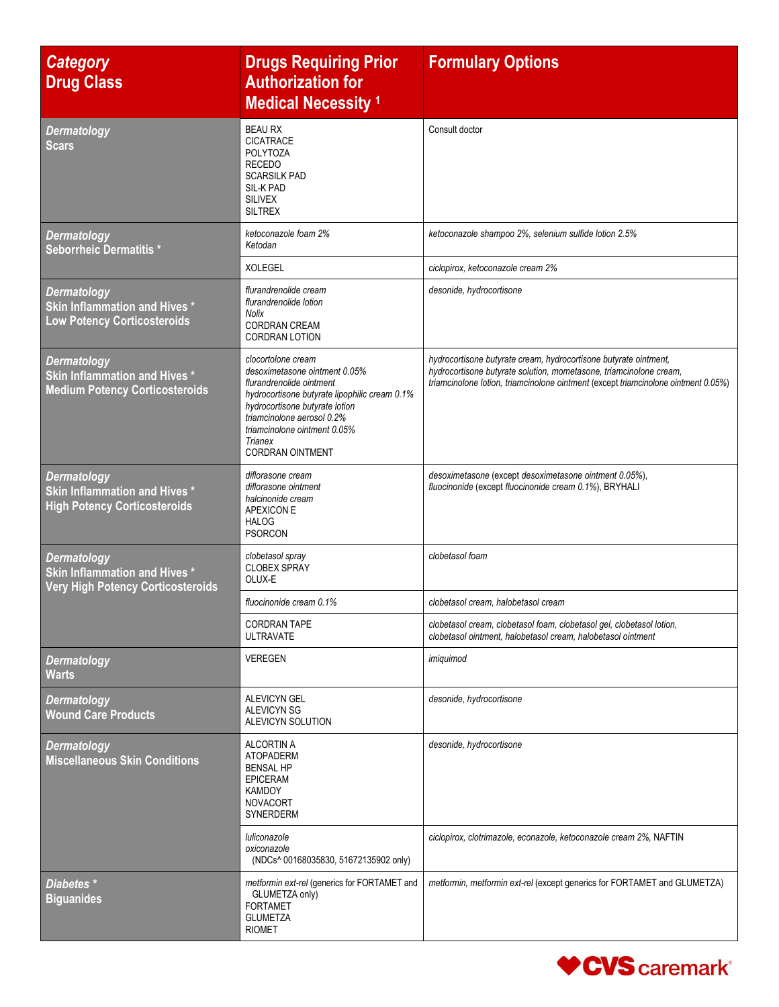| <b>Category</b><br><b>Drug Class</b>                                                             | <b>Drugs Requiring Prior</b><br><b>Authorization for</b><br><b>Medical Necessity 1</b>                                                                                                                                                                                 | <b>Formulary Options</b>                                                                                                                                                                                                     |
|--------------------------------------------------------------------------------------------------|------------------------------------------------------------------------------------------------------------------------------------------------------------------------------------------------------------------------------------------------------------------------|------------------------------------------------------------------------------------------------------------------------------------------------------------------------------------------------------------------------------|
| <b>Dermatology</b><br><b>Scars</b>                                                               | <b>BEAU RX</b><br><b>CICATRACE</b><br><b>POLYTOZA</b><br><b>RECEDO</b><br><b>SCARSILK PAD</b><br>SIL-K PAD<br><b>SILIVEX</b><br><b>SILTREX</b>                                                                                                                         | Consult doctor                                                                                                                                                                                                               |
| <b>Dermatology</b><br>Seborrheic Dermatitis *                                                    | ketoconazole foam 2%<br>Ketodan                                                                                                                                                                                                                                        | ketoconazole shampoo 2%, selenium sulfide lotion 2.5%                                                                                                                                                                        |
|                                                                                                  | <b>XOLEGEL</b>                                                                                                                                                                                                                                                         | ciclopirox, ketoconazole cream 2%                                                                                                                                                                                            |
| <b>Dermatology</b><br><b>Skin Inflammation and Hives *</b><br><b>Low Potency Corticosteroids</b> | flurandrenolide cream<br>flurandrenolide lotion<br><b>Nolix</b><br><b>CORDRAN CREAM</b><br><b>CORDRAN LOTION</b>                                                                                                                                                       | desonide, hydrocortisone                                                                                                                                                                                                     |
| <b>Dermatology</b><br>Skin Inflammation and Hives *<br><b>Medium Potency Corticosteroids</b>     | clocortolone cream<br>desoximetasone ointment 0.05%<br>flurandrenolide ointment<br>hydrocortisone butyrate lipophilic cream 0.1%<br>hydrocortisone butyrate lotion<br>triamcinolone aerosol 0.2%<br>triamcinolone ointment 0.05%<br>Trianex<br><b>CORDRAN OINTMENT</b> | hydrocortisone butyrate cream, hydrocortisone butyrate ointment,<br>hydrocortisone butyrate solution, mometasone, triamcinolone cream,<br>triamcinolone lotion, triamcinolone ointment (except triamcinolone ointment 0.05%) |
| <b>Dermatology</b><br>Skin Inflammation and Hives *<br><b>High Potency Corticosteroids</b>       | diflorasone cream<br>diflorasone ointment<br>halcinonide cream<br>APEXICON E<br><b>HALOG</b><br><b>PSORCON</b>                                                                                                                                                         | desoximetasone (except desoximetasone ointment 0.05%),<br>fluocinonide (except fluocinonide cream 0.1%), BRYHALI                                                                                                             |
| <b>Dermatology</b><br>Skin Inflammation and Hives *<br><b>Very High Potency Corticosteroids</b>  | clobetasol spray<br><b>CLOBEX SPRAY</b><br>OLUX-E                                                                                                                                                                                                                      | clobetasol foam                                                                                                                                                                                                              |
|                                                                                                  | fluocinonide cream 0.1%                                                                                                                                                                                                                                                | clobetasol cream, halobetasol cream                                                                                                                                                                                          |
|                                                                                                  | <b>CORDRAN TAPE</b><br><b>ULTRAVATE</b>                                                                                                                                                                                                                                | clobetasol cream, clobetasol foam, clobetasol gel, clobetasol lotion,<br>clobetasol ointment, halobetasol cream, halobetasol ointment                                                                                        |
| <b>Dermatology</b><br><b>Warts</b>                                                               | <b>VEREGEN</b>                                                                                                                                                                                                                                                         | imiguimod                                                                                                                                                                                                                    |
| Dermatology<br><b>Wound Care Products</b>                                                        | ALEVICYN GEL<br><b>ALEVICYN SG</b><br>ALEVICYN SOLUTION                                                                                                                                                                                                                | desonide, hydrocortisone                                                                                                                                                                                                     |
| <b>Dermatology</b><br><b>Miscellaneous Skin Conditions</b>                                       | <b>ALCORTIN A</b><br><b>ATOPADERM</b><br><b>BENSAL HP</b><br><b>EPICERAM</b><br><b>KAMDOY</b><br><b>NOVACORT</b><br>SYNERDERM                                                                                                                                          | desonide, hydrocortisone                                                                                                                                                                                                     |
|                                                                                                  | luliconazole<br>oxiconazole<br>(NDCs^ 00168035830, 51672135902 only)                                                                                                                                                                                                   | ciclopirox, clotrimazole, econazole, ketoconazole cream 2%, NAFTIN                                                                                                                                                           |
| Diabetes <sup>*</sup><br><b>Biguanides</b>                                                       | metformin ext-rel (generics for FORTAMET and<br>GLUMETZA only)<br><b>FORTAMET</b><br><b>GLUMETZA</b><br><b>RIOMET</b>                                                                                                                                                  | metformin, metformin ext-rel (except generics for FORTAMET and GLUMETZA)                                                                                                                                                     |

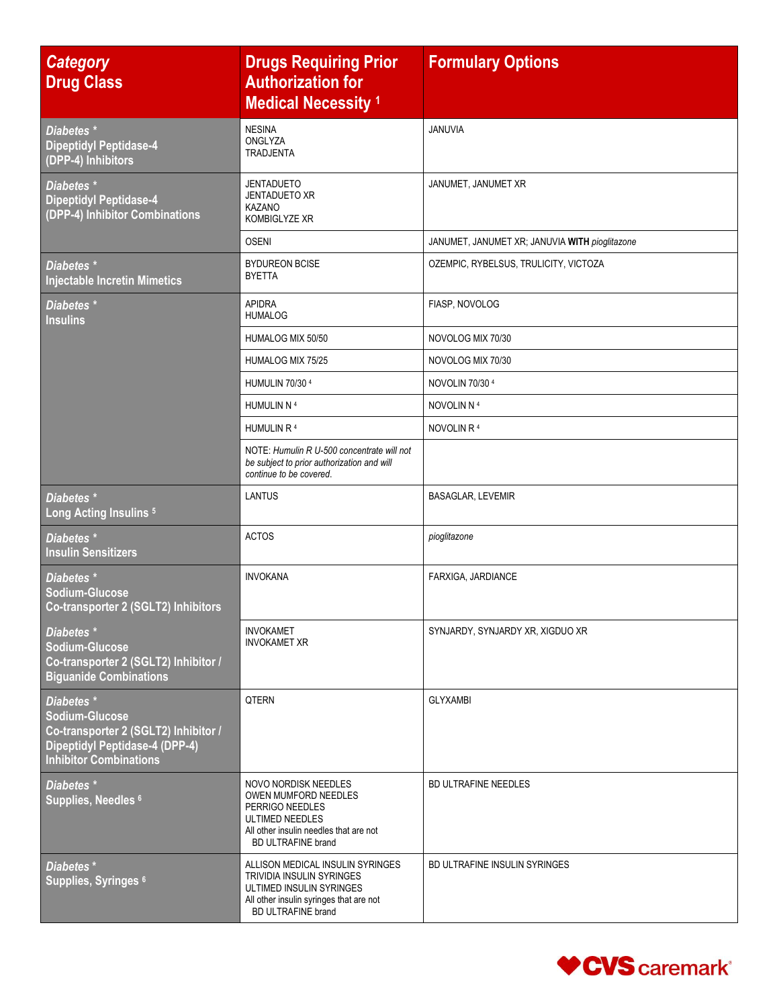| <b>Category</b><br><b>Drug Class</b>                                                                                                           | <b>Drugs Requiring Prior</b><br><b>Authorization for</b><br><b>Medical Necessity 1</b>                                                                     | <b>Formulary Options</b>                       |
|------------------------------------------------------------------------------------------------------------------------------------------------|------------------------------------------------------------------------------------------------------------------------------------------------------------|------------------------------------------------|
| Diabetes <sup>*</sup><br><b>Dipeptidyl Peptidase-4</b><br>(DPP-4) Inhibitors                                                                   | <b>NESINA</b><br>ONGLYZA<br><b>TRADJENTA</b>                                                                                                               | <b>JANUVIA</b>                                 |
| Diabetes <sup>*</sup><br>Dipeptidyl Peptidase-4<br>(DPP-4) Inhibitor Combinations                                                              | JENTADUETO<br><b>JENTADUETO XR</b><br><b>KAZANO</b><br>KOMBIGLYZE XR                                                                                       | JANUMET, JANUMET XR                            |
|                                                                                                                                                | <b>OSENI</b>                                                                                                                                               | JANUMET, JANUMET XR; JANUVIA WITH pioglitazone |
| Diabetes <sup>*</sup><br><b>Injectable Incretin Mimetics</b>                                                                                   | <b>BYDUREON BCISE</b><br><b>BYETTA</b>                                                                                                                     | OZEMPIC, RYBELSUS, TRULICITY, VICTOZA          |
| Diabetes <sup>*</sup><br><b>Insulins</b>                                                                                                       | <b>APIDRA</b><br><b>HUMALOG</b>                                                                                                                            | FIASP, NOVOLOG                                 |
|                                                                                                                                                | HUMALOG MIX 50/50                                                                                                                                          | NOVOLOG MIX 70/30                              |
|                                                                                                                                                | HUMALOG MIX 75/25                                                                                                                                          | NOVOLOG MIX 70/30                              |
|                                                                                                                                                | HUMULIN 70/30 4                                                                                                                                            | NOVOLIN 70/304                                 |
|                                                                                                                                                | HUMULIN N 4                                                                                                                                                | NOVOLIN N 4                                    |
|                                                                                                                                                | HUMULIN R 4                                                                                                                                                | NOVOLIN R <sup>4</sup>                         |
|                                                                                                                                                | NOTE: Humulin R U-500 concentrate will not<br>be subject to prior authorization and will<br>continue to be covered.                                        |                                                |
| Diabetes <sup>*</sup><br>Long Acting Insulins <sup>5</sup>                                                                                     | <b>LANTUS</b>                                                                                                                                              | <b>BASAGLAR, LEVEMIR</b>                       |
| Diabetes *<br><b>Insulin Sensitizers</b>                                                                                                       | <b>ACTOS</b>                                                                                                                                               | pioglitazone                                   |
| Diabetes <sup>*</sup><br><b>Sodium-Glucose</b><br>Co-transporter 2 (SGLT2) Inhibitors                                                          | <b>INVOKANA</b>                                                                                                                                            | FARXIGA, JARDIANCE                             |
| Diabetes <sup>*</sup><br><b>Sodium-Glucose</b><br>Co-transporter 2 (SGLT2) Inhibitor /<br><b>Biguanide Combinations</b>                        | <b>INVOKAMET</b><br><b>INVOKAMET XR</b>                                                                                                                    | SYNJARDY, SYNJARDY XR, XIGDUO XR               |
| Diabetes *<br><b>Sodium-Glucose</b><br>Co-transporter 2 (SGLT2) Inhibitor /<br>Dipeptidyl Peptidase-4 (DPP-4)<br><b>Inhibitor Combinations</b> | QTERN                                                                                                                                                      | <b>GLYXAMBI</b>                                |
| Diabetes <sup>*</sup><br>Supplies, Needles 6                                                                                                   | NOVO NORDISK NEEDLES<br>OWEN MUMFORD NEEDLES<br>PERRIGO NEEDLES<br>ULTIMED NEEDLES<br>All other insulin needles that are not<br><b>BD ULTRAFINE brand</b>  | <b>BD ULTRAFINE NEEDLES</b>                    |
| Diabetes <sup>*</sup><br>Supplies, Syringes <sup>6</sup>                                                                                       | ALLISON MEDICAL INSULIN SYRINGES<br>TRIVIDIA INSULIN SYRINGES<br>ULTIMED INSULIN SYRINGES<br>All other insulin syringes that are not<br>BD ULTRAFINE brand | BD ULTRAFINE INSULIN SYRINGES                  |

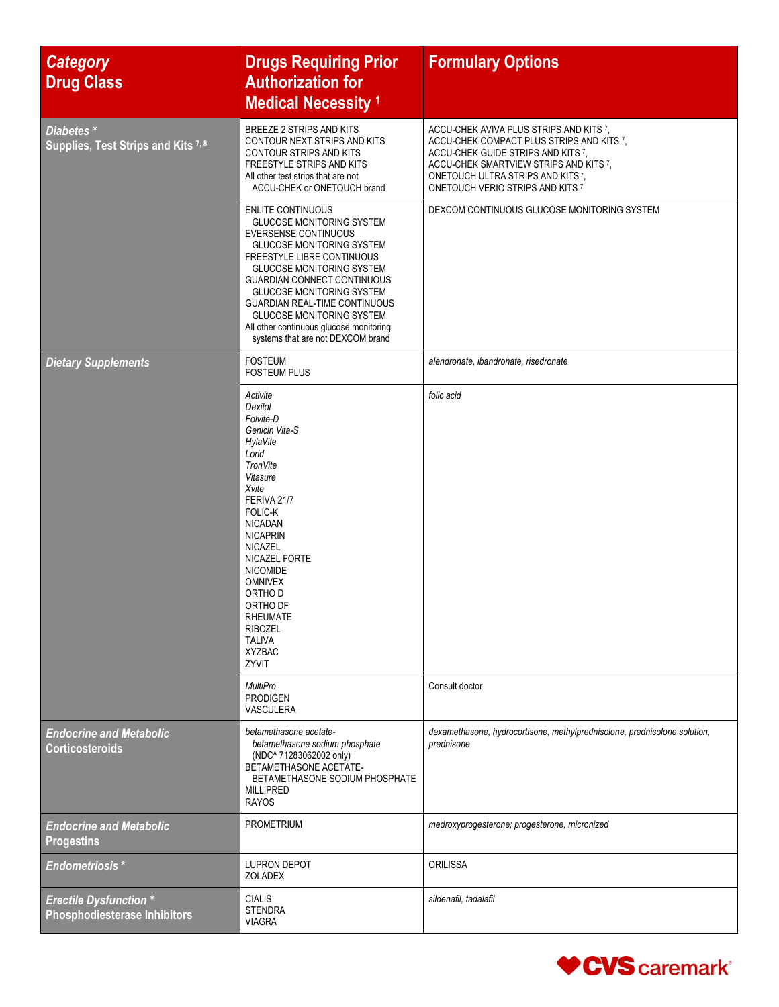| <b>Category</b><br><b>Drug Class</b>                                 | <b>Drugs Requiring Prior</b><br><b>Authorization for</b><br><b>Medical Necessity 1</b>                                                                                                                                                                                                                                                                                                                                           | <b>Formulary Options</b>                                                                                                                                                                                                                     |
|----------------------------------------------------------------------|----------------------------------------------------------------------------------------------------------------------------------------------------------------------------------------------------------------------------------------------------------------------------------------------------------------------------------------------------------------------------------------------------------------------------------|----------------------------------------------------------------------------------------------------------------------------------------------------------------------------------------------------------------------------------------------|
| Diabetes <sup>*</sup><br>Supplies, Test Strips and Kits 7, 8         | BREEZE 2 STRIPS AND KITS<br>CONTOUR NEXT STRIPS AND KITS<br>CONTOUR STRIPS AND KITS<br>FREESTYLE STRIPS AND KITS<br>All other test strips that are not<br>ACCU-CHEK or ONETOUCH brand                                                                                                                                                                                                                                            | ACCU-CHEK AVIVA PLUS STRIPS AND KITS 7,<br>ACCU-CHEK COMPACT PLUS STRIPS AND KITS 7,<br>ACCU-CHEK GUIDE STRIPS AND KITS 7,<br>ACCU-CHEK SMARTVIEW STRIPS AND KITS 7,<br>ONETOUCH ULTRA STRIPS AND KITS7,<br>ONETOUCH VERIO STRIPS AND KITS 7 |
|                                                                      | <b>ENLITE CONTINUOUS</b><br><b>GLUCOSE MONITORING SYSTEM</b><br><b>EVERSENSE CONTINUOUS</b><br>GLUCOSE MONITORING SYSTEM<br>FREESTYLE LIBRE CONTINUOUS<br><b>GLUCOSE MONITORING SYSTEM</b><br><b>GUARDIAN CONNECT CONTINUOUS</b><br><b>GLUCOSE MONITORING SYSTEM</b><br><b>GUARDIAN REAL-TIME CONTINUOUS</b><br><b>GLUCOSE MONITORING SYSTEM</b><br>All other continuous glucose monitoring<br>systems that are not DEXCOM brand | DEXCOM CONTINUOUS GLUCOSE MONITORING SYSTEM                                                                                                                                                                                                  |
| <b>Dietary Supplements</b>                                           | <b>FOSTEUM</b><br><b>FOSTEUM PLUS</b>                                                                                                                                                                                                                                                                                                                                                                                            | alendronate, ibandronate, risedronate                                                                                                                                                                                                        |
|                                                                      | Activite<br>Dexifol<br>Folvite-D<br>Genicin Vita-S<br>HylaVite<br>Lorid<br>TronVite<br>Vitasure<br>Xvite<br>FERIVA 21/7<br>FOLIC-K<br><b>NICADAN</b><br><b>NICAPRIN</b><br>NICAZEL<br>NICAZEL FORTE<br><b>NICOMIDE</b><br><b>OMNIVEX</b><br>ORTHO D<br>ORTHO DF<br>RHEUMAIE<br><b>RIBOZEL</b><br><b>TALIVA</b><br><b>XYZBAC</b><br>ZYVIT                                                                                         | folic acid                                                                                                                                                                                                                                   |
|                                                                      | <b>MultiPro</b><br><b>PRODIGEN</b><br>VASCULERA                                                                                                                                                                                                                                                                                                                                                                                  | Consult doctor                                                                                                                                                                                                                               |
| <b>Endocrine and Metabolic</b><br><b>Corticosteroids</b>             | betamethasone acetate-<br>betamethasone sodium phosphate<br>(NDC^ 71283062002 only)<br>BETAMETHASONE ACETATE-<br>BETAMETHASONE SODIUM PHOSPHATE<br><b>MILLIPRED</b><br><b>RAYOS</b>                                                                                                                                                                                                                                              | dexamethasone, hydrocortisone, methylprednisolone, prednisolone solution,<br>prednisone                                                                                                                                                      |
| <b>Endocrine and Metabolic</b><br><b>Progestins</b>                  | PROMETRIUM                                                                                                                                                                                                                                                                                                                                                                                                                       | medroxyprogesterone; progesterone, micronized                                                                                                                                                                                                |
| <b>Endometriosis*</b>                                                | <b>LUPRON DEPOT</b><br><b>ZOLADEX</b>                                                                                                                                                                                                                                                                                                                                                                                            | <b>ORILISSA</b>                                                                                                                                                                                                                              |
| <b>Erectile Dysfunction *</b><br><b>Phosphodiesterase Inhibitors</b> | <b>CIALIS</b><br><b>STENDRA</b><br><b>VIAGRA</b>                                                                                                                                                                                                                                                                                                                                                                                 | sildenafil, tadalafil                                                                                                                                                                                                                        |

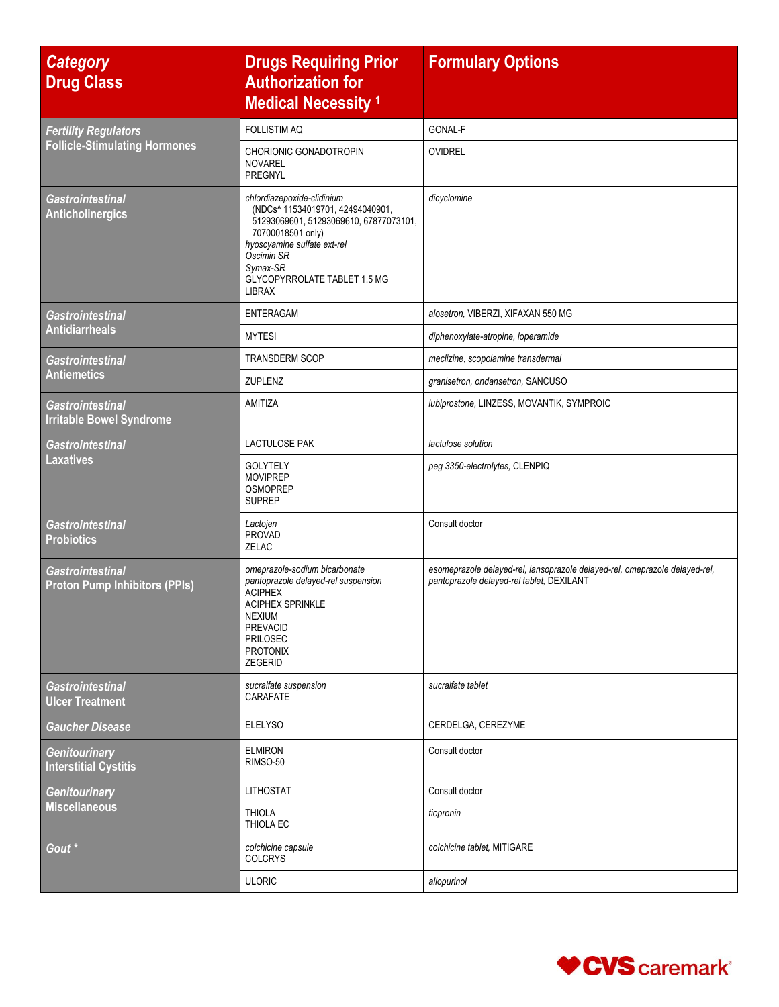| <b>Category</b><br><b>Drug Class</b>                            | <b>Drugs Requiring Prior</b><br><b>Authorization for</b><br><b>Medical Necessity 1</b>                                                                                                                                           | <b>Formulary Options</b>                                                                                                 |
|-----------------------------------------------------------------|----------------------------------------------------------------------------------------------------------------------------------------------------------------------------------------------------------------------------------|--------------------------------------------------------------------------------------------------------------------------|
| <b>Fertility Regulators</b>                                     | <b>FOLLISTIM AQ</b>                                                                                                                                                                                                              | GONAL-F                                                                                                                  |
| <b>Follicle-Stimulating Hormones</b>                            | CHORIONIC GONADOTROPIN<br><b>NOVAREL</b><br>PREGNYL                                                                                                                                                                              | OVIDREL                                                                                                                  |
| <b>Gastrointestinal</b><br><b>Anticholinergics</b>              | chlordiazepoxide-clidinium<br>(NDCs^ 11534019701, 42494040901,<br>51293069601, 51293069610, 67877073101,<br>70700018501 only)<br>hyoscyamine sulfate ext-rel<br>Oscimin SR<br>Symax-SR<br>GLYCOPYRROLATE TABLET 1.5 MG<br>LIBRAX | dicyclomine                                                                                                              |
| <b>Gastrointestinal</b>                                         | <b>ENTERAGAM</b>                                                                                                                                                                                                                 | alosetron, VIBERZI, XIFAXAN 550 MG                                                                                       |
| <b>Antidiarrheals</b>                                           | <b>MYTESI</b>                                                                                                                                                                                                                    | diphenoxylate-atropine, loperamide                                                                                       |
| <b>Gastrointestinal</b>                                         | <b>TRANSDERM SCOP</b>                                                                                                                                                                                                            | meclizine, scopolamine transdermal                                                                                       |
| <b>Antiemetics</b>                                              | <b>ZUPLENZ</b>                                                                                                                                                                                                                   | granisetron, ondansetron, SANCUSO                                                                                        |
| <b>Gastrointestinal</b><br><b>Irritable Bowel Syndrome</b>      | AMITIZA                                                                                                                                                                                                                          | lubiprostone, LINZESS, MOVANTIK, SYMPROIC                                                                                |
| <b>Gastrointestinal</b>                                         | <b>LACTULOSE PAK</b>                                                                                                                                                                                                             | lactulose solution                                                                                                       |
| <b>Laxatives</b>                                                | <b>GOLYTELY</b><br><b>MOVIPREP</b><br><b>OSMOPREP</b><br><b>SUPREP</b>                                                                                                                                                           | peg 3350-electrolytes, CLENPIQ                                                                                           |
| <b>Gastrointestinal</b><br><b>Probiotics</b>                    | Lactojen<br><b>PROVAD</b><br>ZELAC                                                                                                                                                                                               | Consult doctor                                                                                                           |
| <b>Gastrointestinal</b><br><b>Proton Pump Inhibitors (PPIs)</b> | omeprazole-sodium bicarbonate<br>pantoprazole delayed-rel suspension<br><b>ACIPHEX</b><br><b>ACIPHEX SPRINKLE</b><br><b>NEXIUM</b><br><b>PREVACID</b><br>PRILOSEC<br><b>PROTONIX</b><br>ZEGERID                                  | esomeprazole delayed-rel, lansoprazole delayed-rel, omeprazole delayed-rel,<br>pantoprazole delayed-rel tablet, DEXILANT |
| <b>Gastrointestinal</b><br><b>Ulcer Treatment</b>               | sucralfate suspension<br>CARAFATE                                                                                                                                                                                                | sucralfate tablet                                                                                                        |
| <b>Gaucher Disease</b>                                          | <b>ELELYSO</b>                                                                                                                                                                                                                   | CERDELGA, CEREZYME                                                                                                       |
| Genitourinary<br><b>Interstitial Cystitis</b>                   | <b>ELMIRON</b><br>RIMSO-50                                                                                                                                                                                                       | Consult doctor                                                                                                           |
| Genitourinary                                                   | <b>LITHOSTAT</b>                                                                                                                                                                                                                 | Consult doctor                                                                                                           |
| <b>Miscellaneous</b>                                            | <b>THIOLA</b><br>THIOLA EC                                                                                                                                                                                                       | tiopronin                                                                                                                |
| Gout <sup>*</sup>                                               | colchicine capsule<br><b>COLCRYS</b>                                                                                                                                                                                             | colchicine tablet, MITIGARE                                                                                              |
|                                                                 | <b>ULORIC</b>                                                                                                                                                                                                                    | allopurinol                                                                                                              |

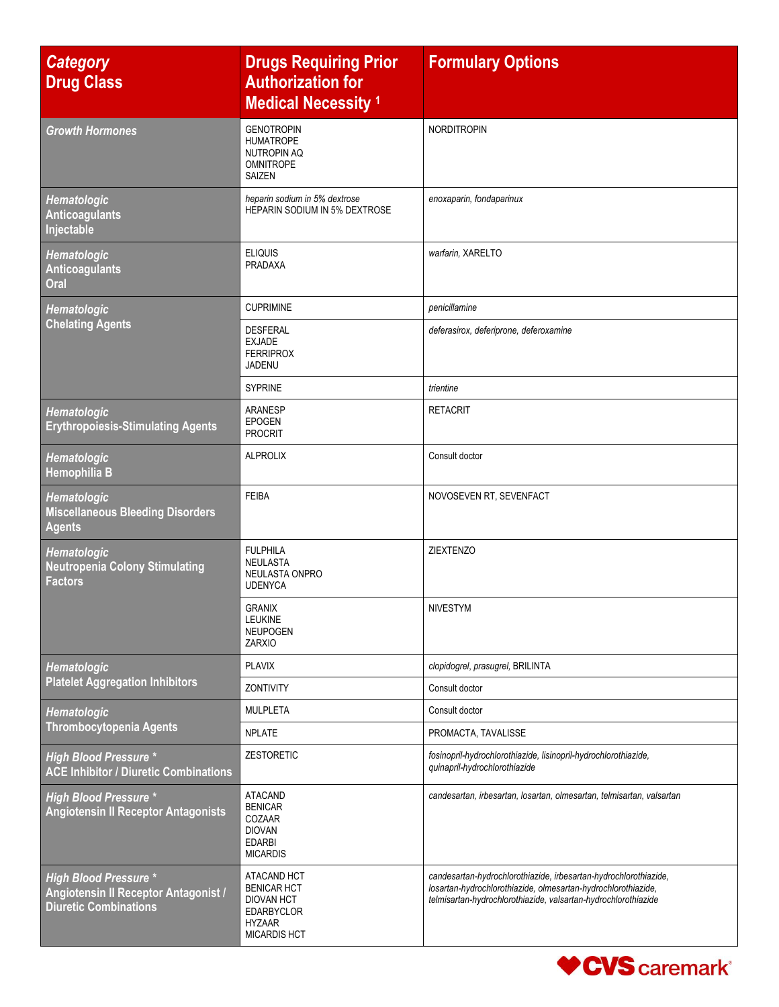| <b>Category</b><br><b>Drug Class</b>                                                                 | <b>Drugs Requiring Prior</b><br><b>Authorization for</b><br><b>Medical Necessity 1</b>                              | <b>Formulary Options</b>                                                                                                                                                                            |
|------------------------------------------------------------------------------------------------------|---------------------------------------------------------------------------------------------------------------------|-----------------------------------------------------------------------------------------------------------------------------------------------------------------------------------------------------|
| <b>Growth Hormones</b>                                                                               | <b>GENOTROPIN</b><br><b>HUMATROPE</b><br><b>NUTROPIN AQ</b><br><b>OMNITROPE</b><br>SAIZEN                           | <b>NORDITROPIN</b>                                                                                                                                                                                  |
| Hematologic<br><b>Anticoagulants</b><br>Injectable                                                   | heparin sodium in 5% dextrose<br><b>HEPARIN SODIUM IN 5% DEXTROSE</b>                                               | enoxaparin, fondaparinux                                                                                                                                                                            |
| Hematologic<br><b>Anticoagulants</b><br>Oral                                                         | <b>ELIQUIS</b><br>PRADAXA                                                                                           | warfarin, XARELTO                                                                                                                                                                                   |
| <b>Hematologic</b>                                                                                   | <b>CUPRIMINE</b>                                                                                                    | penicillamine                                                                                                                                                                                       |
| <b>Chelating Agents</b>                                                                              | <b>DESFERAL</b><br><b>EXJADE</b><br><b>FERRIPROX</b><br>JADENU                                                      | deferasirox, deferiprone, deferoxamine                                                                                                                                                              |
|                                                                                                      | <b>SYPRINE</b>                                                                                                      | trientine                                                                                                                                                                                           |
| <b>Hematologic</b><br><b>Erythropoiesis-Stimulating Agents</b>                                       | ARANESP<br><b>EPOGEN</b><br><b>PROCRIT</b>                                                                          | <b>RETACRIT</b>                                                                                                                                                                                     |
| Hematologic<br>Hemophilia B                                                                          | <b>ALPROLIX</b>                                                                                                     | Consult doctor                                                                                                                                                                                      |
| Hematologic<br><b>Miscellaneous Bleeding Disorders</b><br><b>Agents</b>                              | <b>FEIBA</b>                                                                                                        | NOVOSEVEN RT, SEVENFACT                                                                                                                                                                             |
| <b>Hematologic</b><br><b>Neutropenia Colony Stimulating</b><br><b>Factors</b>                        | <b>FULPHILA</b><br><b>NEULASTA</b><br>NEULASTA ONPRO<br><b>UDENYCA</b>                                              | <b>ZIEXTENZO</b>                                                                                                                                                                                    |
|                                                                                                      | <b>GRANIX</b><br><b>LEUKINE</b><br><b>NEUPOGEN</b><br><b>ZARXIO</b>                                                 | <b>NIVESTYM</b>                                                                                                                                                                                     |
| Hematologic                                                                                          | <b>PLAVIX</b>                                                                                                       | clopidogrel, prasugrel, BRILINTA                                                                                                                                                                    |
| <b>Platelet Aggregation Inhibitors</b>                                                               | ZONTIVITY                                                                                                           | Consult doctor                                                                                                                                                                                      |
| Hematologic                                                                                          | <b>MULPLETA</b>                                                                                                     | Consult doctor                                                                                                                                                                                      |
| <b>Thrombocytopenia Agents</b>                                                                       | <b>NPLATE</b>                                                                                                       | PROMACTA, TAVALISSE                                                                                                                                                                                 |
| <b>High Blood Pressure *</b><br><b>ACE Inhibitor / Diuretic Combinations</b>                         | <b>ZESTORETIC</b>                                                                                                   | fosinopril-hydrochlorothiazide, lisinopril-hydrochlorothiazide,<br>quinapril-hydrochlorothiazide                                                                                                    |
| <b>High Blood Pressure *</b><br><b>Angiotensin II Receptor Antagonists</b>                           | <b>ATACAND</b><br><b>BENICAR</b><br>COZAAR<br><b>DIOVAN</b><br><b>EDARBI</b><br><b>MICARDIS</b>                     | candesartan, irbesartan, losartan, olmesartan, telmisartan, valsartan                                                                                                                               |
| <b>High Blood Pressure *</b><br>Angiotensin II Receptor Antagonist /<br><b>Diuretic Combinations</b> | ATACAND HCT<br><b>BENICAR HCT</b><br><b>DIOVAN HCT</b><br><b>EDARBYCLOR</b><br><b>HYZAAR</b><br><b>MICARDIS HCT</b> | candesartan-hydrochlorothiazide, irbesartan-hydrochlorothiazide,<br>losartan-hydrochlorothiazide, olmesartan-hydrochlorothiazide,<br>telmisartan-hydrochlorothiazide, valsartan-hydrochlorothiazide |

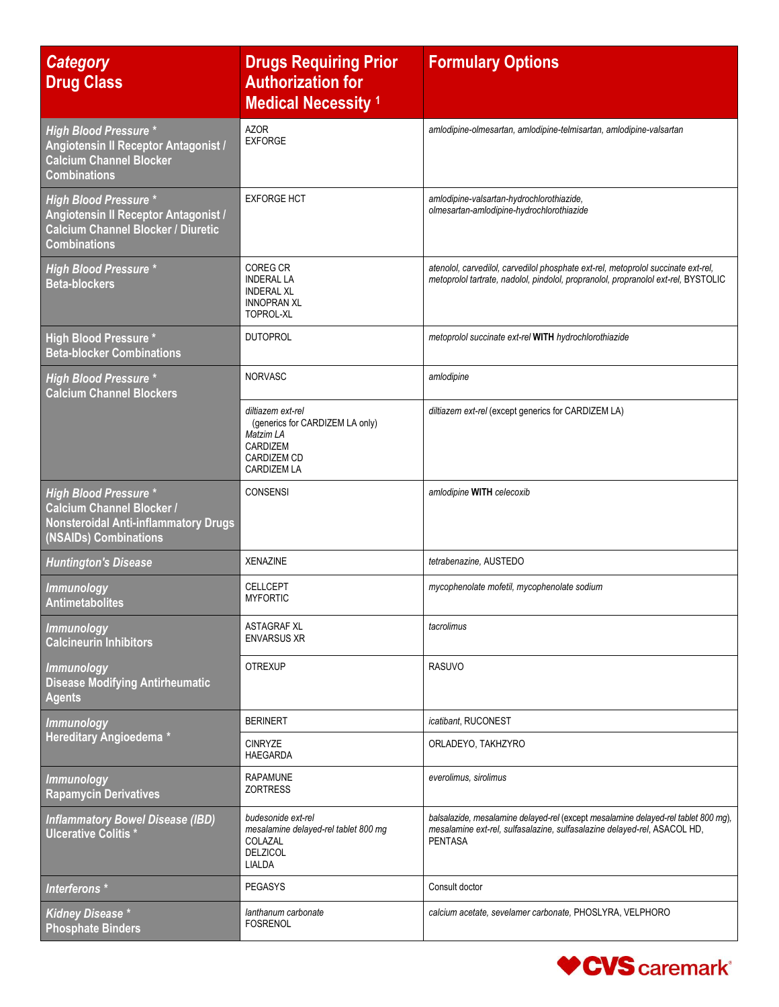| <b>Category</b><br><b>Drug Class</b>                                                                                                     | <b>Drugs Requiring Prior</b><br><b>Authorization for</b><br><b>Medical Necessity 1</b>                                           | <b>Formulary Options</b>                                                                                                                                                         |
|------------------------------------------------------------------------------------------------------------------------------------------|----------------------------------------------------------------------------------------------------------------------------------|----------------------------------------------------------------------------------------------------------------------------------------------------------------------------------|
| <b>High Blood Pressure *</b><br>Angiotensin II Receptor Antagonist /<br><b>Calcium Channel Blocker</b><br><b>Combinations</b>            | <b>AZOR</b><br><b>EXFORGE</b>                                                                                                    | amlodipine-olmesartan, amlodipine-telmisartan, amlodipine-valsartan                                                                                                              |
| <b>High Blood Pressure *</b><br>Angiotensin II Receptor Antagonist /<br><b>Calcium Channel Blocker / Diuretic</b><br><b>Combinations</b> | <b>EXFORGE HCT</b>                                                                                                               | amlodipine-valsartan-hydrochlorothiazide,<br>olmesartan-amlodipine-hydrochlorothiazide                                                                                           |
| <b>High Blood Pressure *</b><br><b>Beta-blockers</b>                                                                                     | <b>COREG CR</b><br><b>INDERAL LA</b><br><b>INDERAL XL</b><br><b>INNOPRAN XL</b><br><b>TOPROL-XL</b>                              | atenolol, carvedilol, carvedilol phosphate ext-rel, metoprolol succinate ext-rel,<br>metoprolol tartrate, nadolol, pindolol, propranolol, propranolol ext-rel, BYSTOLIC          |
| <b>High Blood Pressure *</b><br><b>Beta-blocker Combinations</b>                                                                         | <b>DUTOPROL</b>                                                                                                                  | metoprolol succinate ext-rel WITH hydrochlorothiazide                                                                                                                            |
| <b>High Blood Pressure *</b><br><b>Calcium Channel Blockers</b>                                                                          | <b>NORVASC</b>                                                                                                                   | amlodipine                                                                                                                                                                       |
|                                                                                                                                          | diltiazem ext-rel<br>(generics for CARDIZEM LA only)<br>Matzim LA<br><b>CARDIZEM</b><br><b>CARDIZEM CD</b><br><b>CARDIZEM LA</b> | diltiazem ext-rel (except generics for CARDIZEM LA)                                                                                                                              |
| <b>High Blood Pressure *</b><br><b>Calcium Channel Blocker /</b><br><b>Nonsteroidal Anti-inflammatory Drugs</b><br>(NSAIDs) Combinations | <b>CONSENSI</b>                                                                                                                  | amlodipine WITH celecoxib                                                                                                                                                        |
| <b>Huntington's Disease</b>                                                                                                              | <b>XENAZINE</b>                                                                                                                  | tetrabenazine, AUSTEDO                                                                                                                                                           |
| <b>Immunology</b><br><b>Antimetabolites</b>                                                                                              | <b>CELLCEPT</b><br><b>MYFORTIC</b>                                                                                               | mycophenolate mofetil, mycophenolate sodium                                                                                                                                      |
| <b>Immunology</b><br><b>Calcineurin Inhibitors</b>                                                                                       | <b>ASTAGRAF XL</b><br><b>ENVARSUS XR</b>                                                                                         | tacrolimus                                                                                                                                                                       |
| <b>Immunology</b><br><b>Disease Modifying Antirheumatic</b><br><b>Agents</b>                                                             | <b>OTREXUP</b>                                                                                                                   | <b>RASUVO</b>                                                                                                                                                                    |
| <b>Immunology</b>                                                                                                                        | <b>BERINERT</b>                                                                                                                  | icatibant, RUCONEST                                                                                                                                                              |
| Hereditary Angioedema *                                                                                                                  | <b>CINRYZE</b><br><b>HAEGARDA</b>                                                                                                | ORLADEYO, TAKHZYRO                                                                                                                                                               |
| <i>Immunology</i><br><b>Rapamycin Derivatives</b>                                                                                        | <b>RAPAMUNE</b><br><b>ZORTRESS</b>                                                                                               | everolimus, sirolimus                                                                                                                                                            |
| <b>Inflammatory Bowel Disease (IBD)</b><br><b>Ulcerative Colitis*</b>                                                                    | budesonide ext-rel<br>mesalamine delayed-rel tablet 800 mg<br>COLAZAL<br><b>DELZICOL</b><br>LIALDA                               | balsalazide, mesalamine delayed-rel (except mesalamine delayed-rel tablet 800 mg),<br>mesalamine ext-rel, sulfasalazine, sulfasalazine delayed-rel, ASACOL HD,<br><b>PENTASA</b> |
| Interferons *                                                                                                                            | <b>PEGASYS</b>                                                                                                                   | Consult doctor                                                                                                                                                                   |
| <b>Kidney Disease</b> *<br><b>Phosphate Binders</b>                                                                                      | lanthanum carbonate<br><b>FOSRENOL</b>                                                                                           | calcium acetate, sevelamer carbonate, PHOSLYRA, VELPHORO                                                                                                                         |

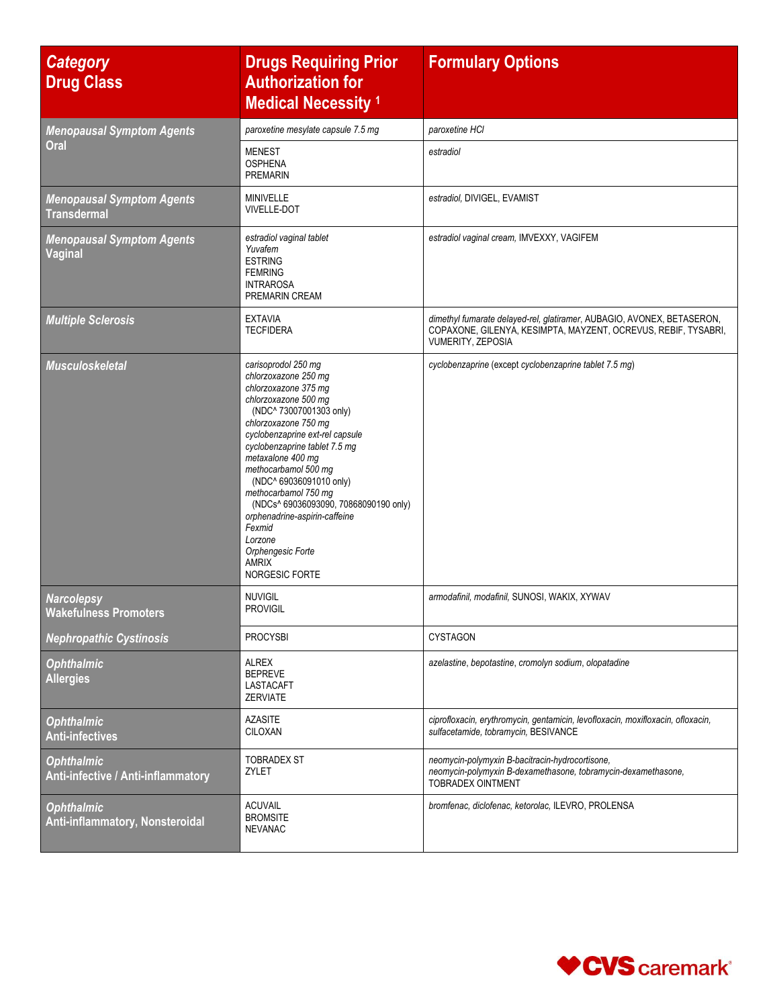| <b>Category</b><br><b>Drug Class</b>                    | <b>Drugs Requiring Prior</b><br><b>Authorization for</b><br><b>Medical Necessity 1</b>                                                                                                                                                                                                                                                                                                                                                                                   | <b>Formulary Options</b>                                                                                                                                      |
|---------------------------------------------------------|--------------------------------------------------------------------------------------------------------------------------------------------------------------------------------------------------------------------------------------------------------------------------------------------------------------------------------------------------------------------------------------------------------------------------------------------------------------------------|---------------------------------------------------------------------------------------------------------------------------------------------------------------|
| <b>Menopausal Symptom Agents</b>                        | paroxetine mesylate capsule 7.5 mg                                                                                                                                                                                                                                                                                                                                                                                                                                       | paroxetine HCI                                                                                                                                                |
| Oral                                                    | <b>MENEST</b><br><b>OSPHENA</b><br><b>PREMARIN</b>                                                                                                                                                                                                                                                                                                                                                                                                                       | estradiol                                                                                                                                                     |
| <b>Menopausal Symptom Agents</b><br><b>Transdermal</b>  | MINIVELLE<br><b>VIVELLE-DOT</b>                                                                                                                                                                                                                                                                                                                                                                                                                                          | estradiol, DIVIGEL, EVAMIST                                                                                                                                   |
| <b>Menopausal Symptom Agents</b><br>Vaginal             | estradiol vaginal tablet<br>Yuvafem<br><b>ESTRING</b><br><b>FEMRING</b><br><b>INTRAROSA</b><br>PREMARIN CREAM                                                                                                                                                                                                                                                                                                                                                            | estradiol vaginal cream, IMVEXXY, VAGIFEM                                                                                                                     |
| <b>Multiple Sclerosis</b>                               | <b>EXTAVIA</b><br><b>TECFIDERA</b>                                                                                                                                                                                                                                                                                                                                                                                                                                       | dimethyl fumarate delayed-rel, glatiramer, AUBAGIO, AVONEX, BETASERON,<br>COPAXONE, GILENYA, KESIMPTA, MAYZENT, OCREVUS, REBIF, TYSABRI,<br>VUMERITY, ZEPOSIA |
| <b>Musculoskeletal</b>                                  | carisoprodol 250 mg<br>chlorzoxazone 250 mg<br>chlorzoxazone 375 mg<br>chlorzoxazone 500 mg<br>(NDC^ 73007001303 only)<br>chlorzoxazone 750 mg<br>cyclobenzaprine ext-rel capsule<br>cyclobenzaprine tablet 7.5 mg<br>metaxalone 400 mg<br>methocarbamol 500 mg<br>(NDC^ 69036091010 only)<br>methocarbamol 750 mg<br>(NDCs^ 69036093090, 70868090190 only)<br>orphenadrine-aspirin-caffeine<br>Fexmid<br>Lorzone<br>Orphengesic Forte<br><b>AMRIX</b><br>NORGESIC FORTE | cyclobenzaprine (except cyclobenzaprine tablet 7.5 mq)                                                                                                        |
| <b>Narcolepsy</b><br><b>Wakefulness Promoters</b>       | <b>NUVIGIL</b><br><b>PROVIGIL</b>                                                                                                                                                                                                                                                                                                                                                                                                                                        | armodafinil, modafinil, SUNOSI, WAKIX, XYWAV                                                                                                                  |
| <b>Nephropathic Cystinosis</b>                          | <b>PROCYSBI</b>                                                                                                                                                                                                                                                                                                                                                                                                                                                          | <b>CYSTAGON</b>                                                                                                                                               |
| <b>Ophthalmic</b><br><b>Allergies</b>                   | ALREX<br><b>BEPREVE</b><br>LASTACAFT<br><b>ZERVIATE</b>                                                                                                                                                                                                                                                                                                                                                                                                                  | azelastine, bepotastine, cromolyn sodium, olopatadine                                                                                                         |
| <b>Ophthalmic</b><br><b>Anti-infectives</b>             | <b>AZASITE</b><br>CILOXAN                                                                                                                                                                                                                                                                                                                                                                                                                                                | ciprofloxacin, erythromycin, gentamicin, levofloxacin, moxifloxacin, ofloxacin,<br>sulfacetamide, tobramycin, BESIVANCE                                       |
| <b>Ophthalmic</b><br>Anti-infective / Anti-inflammatory | <b>TOBRADEX ST</b><br>ZYLET                                                                                                                                                                                                                                                                                                                                                                                                                                              | neomycin-polymyxin B-bacitracin-hydrocortisone,<br>neomycin-polymyxin B-dexamethasone, tobramycin-dexamethasone,<br>TOBRADEX OINTMENT                         |
| <b>Ophthalmic</b><br>Anti-inflammatory, Nonsteroidal    | <b>ACUVAIL</b><br><b>BROMSITE</b><br><b>NEVANAC</b>                                                                                                                                                                                                                                                                                                                                                                                                                      | bromfenac, diclofenac, ketorolac, ILEVRO, PROLENSA                                                                                                            |

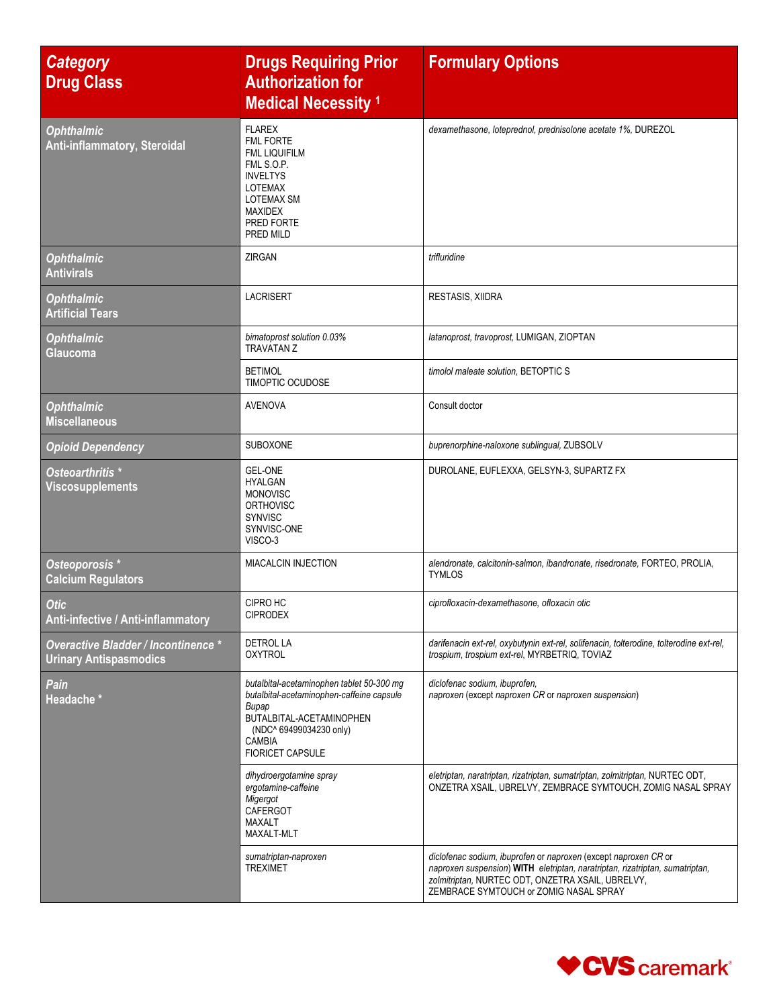| <b>Category</b><br><b>Drug Class</b>                                 | <b>Drugs Requiring Prior</b><br><b>Authorization for</b><br><b>Medical Necessity 1</b>                                                                                                             | <b>Formulary Options</b>                                                                                                                                                                                                                       |
|----------------------------------------------------------------------|----------------------------------------------------------------------------------------------------------------------------------------------------------------------------------------------------|------------------------------------------------------------------------------------------------------------------------------------------------------------------------------------------------------------------------------------------------|
| <b>Ophthalmic</b><br>Anti-inflammatory, Steroidal                    | <b>FLAREX</b><br><b>FML FORTE</b><br><b>FML LIQUIFILM</b><br>FML S.O.P.<br><b>INVELTYS</b><br><b>LOTEMAX</b><br><b>LOTEMAX SM</b><br><b>MAXIDEX</b><br>PRED FORTE<br>PRED MILD                     | dexamethasone, loteprednol, prednisolone acetate 1%, DUREZOL                                                                                                                                                                                   |
| <b>Ophthalmic</b><br><b>Antivirals</b>                               | <b>ZIRGAN</b>                                                                                                                                                                                      | trifluridine                                                                                                                                                                                                                                   |
| <b>Ophthalmic</b><br><b>Artificial Tears</b>                         | <b>LACRISERT</b>                                                                                                                                                                                   | <b>RESTASIS, XIIDRA</b>                                                                                                                                                                                                                        |
| <b>Ophthalmic</b><br>Glaucoma                                        | bimatoprost solution 0.03%<br><b>TRAVATAN Z</b>                                                                                                                                                    | latanoprost, travoprost, LUMIGAN, ZIOPTAN                                                                                                                                                                                                      |
|                                                                      | <b>BETIMOL</b><br><b>TIMOPTIC OCUDOSE</b>                                                                                                                                                          | timolol maleate solution, BETOPTIC S                                                                                                                                                                                                           |
| <b>Ophthalmic</b><br><b>Miscellaneous</b>                            | <b>AVENOVA</b>                                                                                                                                                                                     | Consult doctor                                                                                                                                                                                                                                 |
| <b>Opioid Dependency</b>                                             | SUBOXONE                                                                                                                                                                                           | buprenorphine-naloxone sublingual, ZUBSOLV                                                                                                                                                                                                     |
| Osteoarthritis <sup>*</sup><br><b>Viscosupplements</b>               | <b>GEL-ONE</b><br><b>HYALGAN</b><br><b>MONOVISC</b><br><b>ORTHOVISC</b><br><b>SYNVISC</b><br>SYNVISC-ONE<br>VISCO-3                                                                                | DUROLANE, EUFLEXXA, GELSYN-3, SUPARTZ FX                                                                                                                                                                                                       |
| Osteoporosis *<br><b>Calcium Regulators</b>                          | MIACALCIN INJECTION                                                                                                                                                                                | alendronate, calcitonin-salmon, ibandronate, risedronate, FORTEO, PROLIA,<br><b>TYMLOS</b>                                                                                                                                                     |
| <b>Otic</b><br>Anti-infective / Anti-inflammatory                    | CIPRO HC<br><b>CIPRODEX</b>                                                                                                                                                                        | ciprofloxacin-dexamethasone, ofloxacin otic                                                                                                                                                                                                    |
| Overactive Bladder / Incontinence *<br><b>Urinary Antispasmodics</b> | <b>DETROL LA</b><br><b>OXYTROL</b>                                                                                                                                                                 | darifenacin ext-rel, oxybutynin ext-rel, solifenacin, tolterodine, tolterodine ext-rel,<br>trospium, trospium ext-rel, MYRBETRIQ, TOVIAZ                                                                                                       |
| Pain<br>Headache *                                                   | butalbital-acetaminophen tablet 50-300 mg<br>butalbital-acetaminophen-caffeine capsule<br>Bupap<br>BUTALBITAL-ACETAMINOPHEN<br>(NDC^ 69499034230 only)<br><b>CAMBIA</b><br><b>FIORICET CAPSULE</b> | diclofenac sodium, ibuprofen,<br>naproxen (except naproxen CR or naproxen suspension)                                                                                                                                                          |
|                                                                      | dihydroergotamine spray<br>ergotamine-caffeine<br>Migergot<br>CAFERGOT<br>MAXALT<br>MAXALT-MLT                                                                                                     | eletriptan, naratriptan, rizatriptan, sumatriptan, zolmitriptan, NURTEC ODT,<br>ONZETRA XSAIL, UBRELVY, ZEMBRACE SYMTOUCH, ZOMIG NASAL SPRAY                                                                                                   |
|                                                                      | sumatriptan-naproxen<br><b>TREXIMET</b>                                                                                                                                                            | diclofenac sodium, ibuprofen or naproxen (except naproxen CR or<br>naproxen suspension) WITH eletriptan, naratriptan, rizatriptan, sumatriptan,<br>zolmitriptan, NURTEC ODT, ONZETRA XSAIL, UBRELVY,<br>ZEMBRACE SYMTOUCH or ZOMIG NASAL SPRAY |

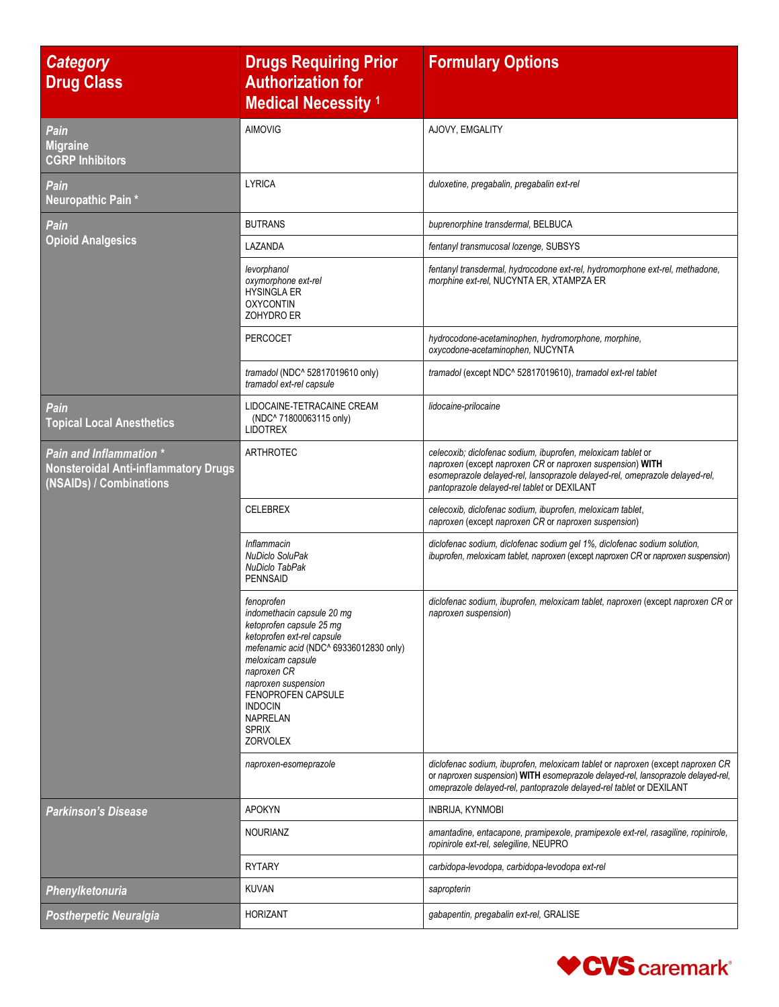| <b>Category</b><br><b>Drug Class</b>                                                                     | <b>Drugs Requiring Prior</b><br><b>Authorization for</b><br><b>Medical Necessity 1</b>                                                                                                                                                                                                         | <b>Formulary Options</b>                                                                                                                                                                                                                                |
|----------------------------------------------------------------------------------------------------------|------------------------------------------------------------------------------------------------------------------------------------------------------------------------------------------------------------------------------------------------------------------------------------------------|---------------------------------------------------------------------------------------------------------------------------------------------------------------------------------------------------------------------------------------------------------|
| Pain<br><b>Migraine</b><br><b>CGRP Inhibitors</b>                                                        | <b>AIMOVIG</b>                                                                                                                                                                                                                                                                                 | AJOVY, EMGALITY                                                                                                                                                                                                                                         |
| Pain<br>Neuropathic Pain*                                                                                | <b>LYRICA</b>                                                                                                                                                                                                                                                                                  | duloxetine, pregabalin, pregabalin ext-rel                                                                                                                                                                                                              |
| Pain                                                                                                     | <b>BUTRANS</b>                                                                                                                                                                                                                                                                                 | buprenorphine transdermal, BELBUCA                                                                                                                                                                                                                      |
| <b>Opioid Analgesics</b>                                                                                 | LAZANDA                                                                                                                                                                                                                                                                                        | fentanyl transmucosal lozenge, SUBSYS                                                                                                                                                                                                                   |
|                                                                                                          | levorphanol<br>oxymorphone ext-rel<br><b>HYSINGLA ER</b><br><b>OXYCONTIN</b><br>ZOHYDRO ER                                                                                                                                                                                                     | fentanyl transdermal, hydrocodone ext-rel, hydromorphone ext-rel, methadone,<br>morphine ext-rel, NUCYNTA ER, XTAMPZA ER                                                                                                                                |
|                                                                                                          | PERCOCET                                                                                                                                                                                                                                                                                       | hydrocodone-acetaminophen, hydromorphone, morphine,<br>oxycodone-acetaminophen, NUCYNTA                                                                                                                                                                 |
|                                                                                                          | tramadol (NDC^ 52817019610 only)<br>tramadol ext-rel capsule                                                                                                                                                                                                                                   | tramadol (except NDC^ 52817019610), tramadol ext-rel tablet                                                                                                                                                                                             |
| Pain<br><b>Topical Local Anesthetics</b>                                                                 | LIDOCAINE-TETRACAINE CREAM<br>(NDC^ 71800063115 only)<br><b>LIDOTREX</b>                                                                                                                                                                                                                       | lidocaine-prilocaine                                                                                                                                                                                                                                    |
| <b>Pain and Inflammation *</b><br><b>Nonsteroidal Anti-inflammatory Drugs</b><br>(NSAIDs) / Combinations | <b>ARTHROTEC</b>                                                                                                                                                                                                                                                                               | celecoxib; diclofenac sodium, ibuprofen, meloxicam tablet or<br>naproxen (except naproxen CR or naproxen suspension) WITH<br>esomeprazole delayed-rel, lansoprazole delayed-rel, omeprazole delayed-rel,<br>pantoprazole delayed-rel tablet or DEXILANT |
|                                                                                                          | <b>CELEBREX</b>                                                                                                                                                                                                                                                                                | celecoxib, diclofenac sodium, ibuprofen, meloxicam tablet,<br>naproxen (except naproxen CR or naproxen suspension)                                                                                                                                      |
|                                                                                                          | Inflammacin<br><b>NuDiclo SoluPak</b><br>NuDiclo TabPak<br><b>PENNSAID</b>                                                                                                                                                                                                                     | diclofenac sodium, diclofenac sodium gel 1%, diclofenac sodium solution,<br>ibuprofen, meloxicam tablet, naproxen (except naproxen CR or naproxen suspension)                                                                                           |
|                                                                                                          | fenoprofen<br>indomethacin capsule 20 mg<br>ketoprofen capsule 25 mg<br>ketoprofen ext-rel capsule<br>mefenamic acid (NDC^ 69336012830 only)<br>meloxicam capsule<br>naproxen CR<br>naproxen suspension<br>FENOPROFEN CAPSULE<br><b>INDOCIN</b><br><b>NAPRELAN</b><br><b>SPRIX</b><br>ZORVOLEX | diclofenac sodium, ibuprofen, meloxicam tablet, naproxen (except naproxen CR or<br>naproxen suspension)                                                                                                                                                 |
|                                                                                                          | naproxen-esomeprazole                                                                                                                                                                                                                                                                          | diclofenac sodium, ibuprofen, meloxicam tablet or naproxen (except naproxen CR<br>or naproxen suspension) WITH esomeprazole delayed-rel, lansoprazole delayed-rel,<br>omeprazole delayed-rel, pantoprazole delayed-rel tablet or DEXILANT               |
| <b>Parkinson's Disease</b>                                                                               | <b>APOKYN</b>                                                                                                                                                                                                                                                                                  | <b>INBRIJA, KYNMOBI</b>                                                                                                                                                                                                                                 |
|                                                                                                          | <b>NOURIANZ</b>                                                                                                                                                                                                                                                                                | amantadine, entacapone, pramipexole, pramipexole ext-rel, rasagiline, ropinirole,<br>ropinirole ext-rel, selegiline, NEUPRO                                                                                                                             |
|                                                                                                          | <b>RYTARY</b>                                                                                                                                                                                                                                                                                  | carbidopa-levodopa, carbidopa-levodopa ext-rel                                                                                                                                                                                                          |
| Phenylketonuria                                                                                          | KUVAN                                                                                                                                                                                                                                                                                          | sapropterin                                                                                                                                                                                                                                             |
| <b>Postherpetic Neuralgia</b>                                                                            | <b>HORIZANT</b>                                                                                                                                                                                                                                                                                | gabapentin, pregabalin ext-rel, GRALISE                                                                                                                                                                                                                 |

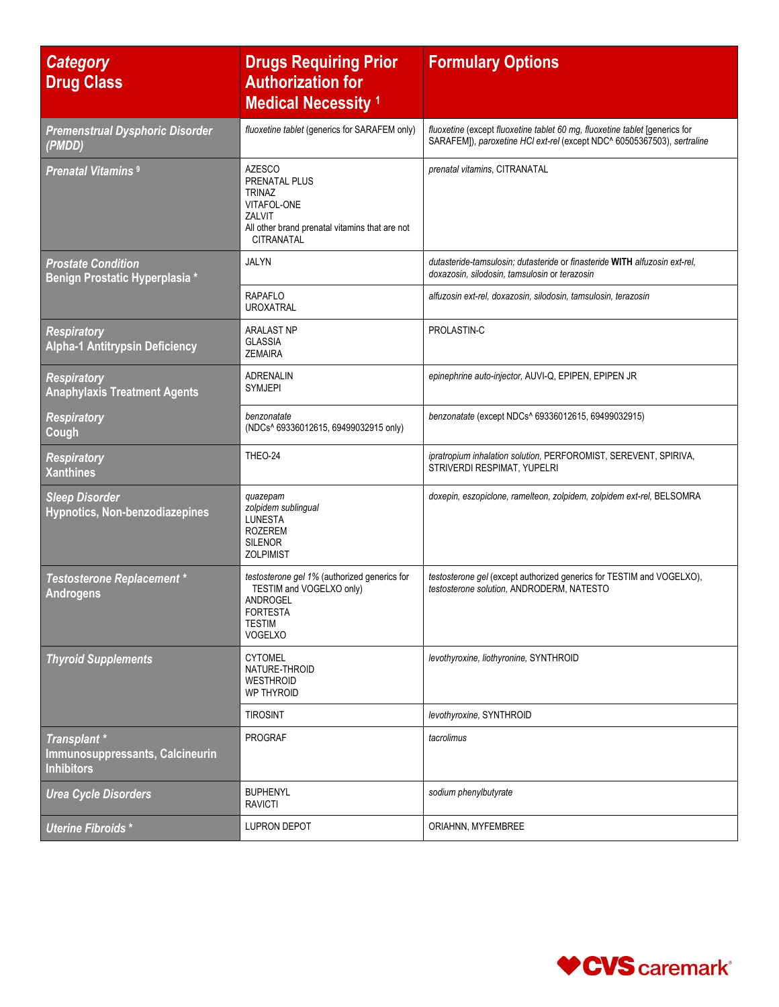| <b>Category</b><br><b>Drug Class</b>                                 | <b>Drugs Requiring Prior</b><br><b>Authorization for</b><br><b>Medical Necessity 1</b>                                                                 | <b>Formulary Options</b>                                                                                                                               |
|----------------------------------------------------------------------|--------------------------------------------------------------------------------------------------------------------------------------------------------|--------------------------------------------------------------------------------------------------------------------------------------------------------|
| <b>Premenstrual Dysphoric Disorder</b><br>(PMDD)                     | fluoxetine tablet (generics for SARAFEM only)                                                                                                          | fluoxetine (except fluoxetine tablet 60 mg, fluoxetine tablet [generics for<br>SARAFEM]), paroxetine HCl ext-rel (except NDC^ 60505367503), sertraline |
| <b>Prenatal Vitamins<sup>9</sup></b>                                 | <b>AZESCO</b><br><b>PRENATAL PLUS</b><br><b>TRINAZ</b><br>VITAFOL-ONE<br>ZALVIT<br>All other brand prenatal vitamins that are not<br><b>CITRANATAL</b> | prenatal vitamins, CITRANATAL                                                                                                                          |
| <b>Prostate Condition</b><br>Benign Prostatic Hyperplasia *          | <b>JALYN</b>                                                                                                                                           | dutasteride-tamsulosin: dutasteride or finasteride WITH alfuzosin ext-rel.<br>doxazosin, silodosin, tamsulosin or terazosin                            |
|                                                                      | <b>RAPAFLO</b><br><b>UROXATRAL</b>                                                                                                                     | alfuzosin ext-rel, doxazosin, silodosin, tamsulosin, terazosin                                                                                         |
| <b>Respiratory</b><br><b>Alpha-1 Antitrypsin Deficiency</b>          | <b>ARALAST NP</b><br><b>GLASSIA</b><br><b>ZEMAIRA</b>                                                                                                  | PROLASTIN-C                                                                                                                                            |
| <b>Respiratory</b><br><b>Anaphylaxis Treatment Agents</b>            | ADRENALIN<br><b>SYMJEPI</b>                                                                                                                            | epinephrine auto-injector, AUVI-Q, EPIPEN, EPIPEN JR                                                                                                   |
| <b>Respiratory</b><br>Cough                                          | benzonatate<br>(NDCs^ 69336012615, 69499032915 only)                                                                                                   | benzonatate (except NDCs^ 69336012615, 69499032915)                                                                                                    |
| <b>Respiratory</b><br><b>Xanthines</b>                               | THEO-24                                                                                                                                                | ipratropium inhalation solution, PERFOROMIST, SEREVENT, SPIRIVA,<br>STRIVERDI RESPIMAT, YUPELRI                                                        |
| <b>Sleep Disorder</b><br>Hypnotics, Non-benzodiazepines              | quazepam<br>zolpidem sublingual<br><b>LUNESTA</b><br><b>ROZEREM</b><br><b>SILENOR</b><br><b>ZOLPIMIST</b>                                              | doxepin, eszopiclone, ramelteon, zolpidem, zolpidem ext-rel, BELSOMRA                                                                                  |
| <b>Testosterone Replacement *</b><br><b>Androgens</b>                | testosterone gel 1% (authorized generics for<br>TESTIM and VOGELXO only)<br><b>ANDROGEL</b><br><b>FORTESTA</b><br><b>TESTIM</b><br><b>VOGELXO</b>      | testosterone gel (except authorized generics for TESTIM and VOGELXO),<br>testosterone solution. ANDRODERM. NATESTO                                     |
| <b>Thyroid Supplements</b>                                           | <b>CYTOMEL</b><br>NATURE-THROID<br>WESTHROID<br>WP THYROID                                                                                             | levothyroxine, liothyronine, SYNTHROID                                                                                                                 |
|                                                                      | <b>TIROSINT</b>                                                                                                                                        | levothyroxine, SYNTHROID                                                                                                                               |
| Transplant *<br>Immunosuppressants, Calcineurin<br><b>Inhibitors</b> | <b>PROGRAF</b>                                                                                                                                         | tacrolimus                                                                                                                                             |
| <b>Urea Cycle Disorders</b>                                          | <b>BUPHENYL</b><br><b>RAVICTI</b>                                                                                                                      | sodium phenylbutyrate                                                                                                                                  |
| Uterine Fibroids*                                                    | LUPRON DEPOT                                                                                                                                           | ORIAHNN, MYFEMBREE                                                                                                                                     |

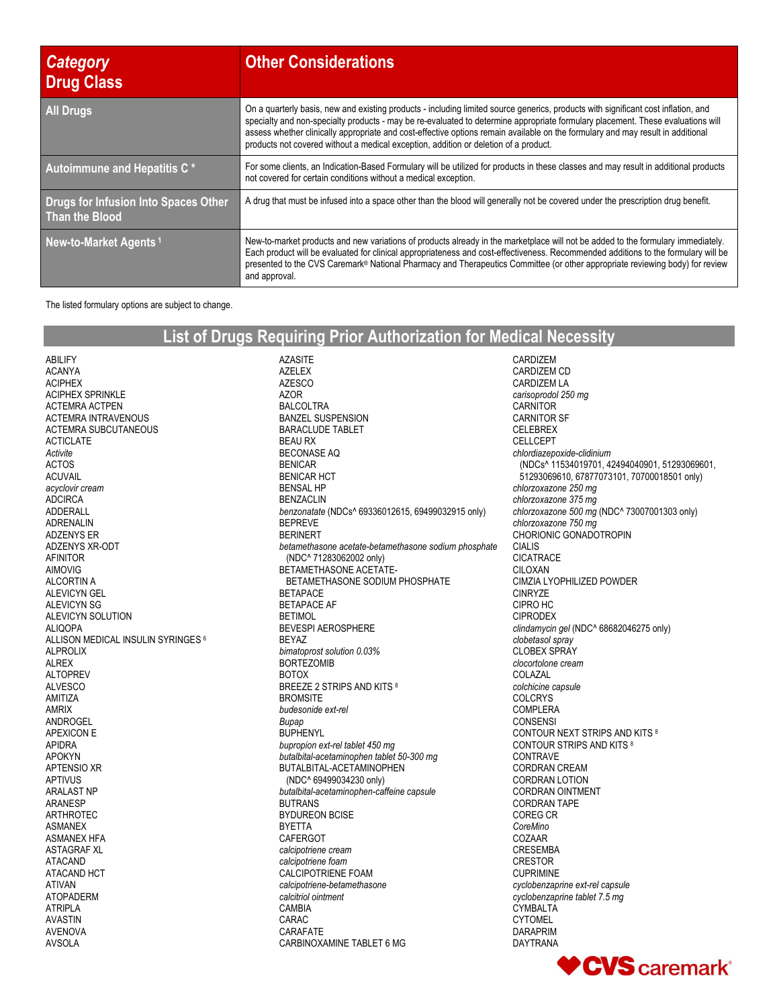| <b>Category</b><br><b>Drug Class</b>                   | <b>Other Considerations</b>                                                                                                                                                                                                                                                                                                                                                                                                                                                                      |
|--------------------------------------------------------|--------------------------------------------------------------------------------------------------------------------------------------------------------------------------------------------------------------------------------------------------------------------------------------------------------------------------------------------------------------------------------------------------------------------------------------------------------------------------------------------------|
| <b>All Drugs</b>                                       | On a quarterly basis, new and existing products - including limited source generics, products with significant cost inflation, and<br>specialty and non-specialty products - may be re-evaluated to determine appropriate formulary placement. These evaluations will<br>assess whether clinically appropriate and cost-effective options remain available on the formulary and may result in additional<br>products not covered without a medical exception, addition or deletion of a product. |
| Autoimmune and Hepatitis C *                           | For some clients, an Indication-Based Formulary will be utilized for products in these classes and may result in additional products<br>not covered for certain conditions without a medical exception.                                                                                                                                                                                                                                                                                          |
| Drugs for Infusion Into Spaces Other<br>Than the Blood | A drug that must be infused into a space other than the blood will generally not be covered under the prescription drug benefit.                                                                                                                                                                                                                                                                                                                                                                 |
| New-to-Market Agents <sup>1</sup>                      | New-to-market products and new variations of products already in the marketplace will not be added to the formulary immediately.<br>Each product will be evaluated for clinical appropriateness and cost-effectiveness. Recommended additions to the formulary will be<br>presented to the CVS Caremark® National Pharmacy and Therapeutics Committee (or other appropriate reviewing body) for review<br>and approval.                                                                          |

The listed formulary options are subject to change.

## **List of Drugs Requiring Prior Authorization for Medical Necessity**

AZASITE AZELEX AZESCO

ABILIFY ACANYA ACIPHEX ACIPHEX SPRINKLE ACTEMRA ACTPEN ACTEMRA INTRAVENOUS ACTEMRA SUBCUTANEOUS ACTICLATE *Activite* ACTOS ACUVAIL *acyclovir cream* ADCIRCA ADDERALL ADRENALIN ADZENYS ER ADZENYS XR-ODT AFINITOR AIMOVIG ALCORTIN A ALEVICYN GEL ALEVICYN SG ALEVICYN SOLUTION ALIQOPA ALLISON MEDICAL INSULIN SYRINGES <sup>6</sup> ALPROLIX ALREX ALTOPREV ALVESCO AMITIZA AMRIX ANDROGEL APEXICON E APIDRA APOKYN APTENSIO XR APTIVUS ARALAST NP ARANESP ARTHROTEC ASMANEX ASMANEX HFA ASTAGRAF XL ATACAND ATACAND HCT ATIVAN ATOPADERM ATRIPLA AVASTIN AVENOVA AVSOLA

AZOR BALCOLTRA BANZEL SUSPENSION BARACLUDE TABLET BEAU RX BECONASE AQ BENICAR BENICAR HCT BENSAL HP BENZACLIN *benzonatate* (NDCs^ 69336012615, 69499032915 only) BEPREVE BERINERT *betamethasone acetate-betamethasone sodium phosphate* (NDC^ 71283062002 only) BETAMETHASONE ACETATE- BETAMETHASONE SODIUM PHOSPHATE BETAPACE BETAPACE AF BETIMOL BEVESPI AEROSPHERE BEYAZ *bimatoprost solution 0.03%* **BORTEZOMIR** BOTOX BREEZE 2 STRIPS AND KITS 8 **BROMSITE** *budesonide ext-rel Bupap* **BUPHENYL** *bupropion ext-rel tablet 450 mg butalbital-acetaminophen tablet 50-300 mg* BUTALBITAL-ACETAMINOPHEN (NDC^ 69499034230 only) *butalbital-acetaminophen-caffeine capsule* BUTRANS BYDUREON BCISE BYETTA CAFERGOT *calcipotriene cream calcipotriene foam* CALCIPOTRIENE FOAM *calcipotriene-betamethasone calcitriol ointment* CAMBIA CARAC CARAFATE CARBINOXAMINE TABLET 6 MG

CARDIZEM CARDIZEM CD CARDIZEM LA *carisoprodol 250 mg* **CARNITOR** CARNITOR SF CELEBREX CELLCEPT *chlordiazepoxide-clidinium* (NDCs^ 11534019701, 42494040901, 51293069601, 51293069610, 67877073101, 70700018501 only) *chlorzoxazone 250 mg chlorzoxazone 375 mg chlorzoxazone 500 mg* (NDC^ 73007001303 only) *chlorzoxazone 750 mg* CHORIONIC GONADOTROPIN CIALIS CICATRACE CILOXAN CIMZIA LYOPHILIZED POWDER CINRYZE CIPRO HC CIPRODEX *clindamycin gel* (NDC^ 68682046275 only) *clobetasol spray* CLOBEX SPRAY *clocortolone cream* COLAZAL *colchicine capsule* COLCRYS COMPLERA CONSENSI CONTOUR NEXT STRIPS AND KITS <sup>8</sup> CONTOUR STRIPS AND KITS <sup>8</sup> CONTRAVE CORDRAN CREAM CORDRAN LOTION CORDRAN OINTMENT CORDRAN TAPE COREG CR *CoreMino* COZAAR CRESEMBA CRESTOR CUPRIMINE *cyclobenzaprine ext-rel capsule cyclobenzaprine tablet 7.5 mg* **CYMBALTA** CYTOMEL DARAPRIM DAYTRANA

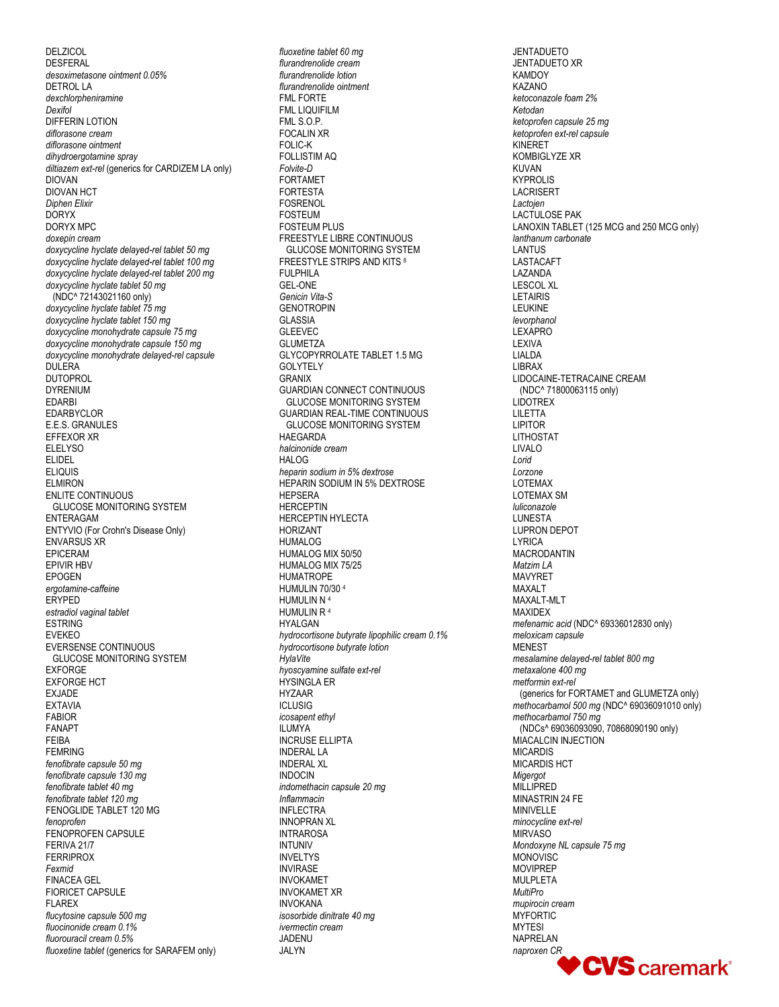DELZICOL **DESFERAL** *desoximetasone ointment 0.05%* DETROL LA *dexchlorpheniramine Dexifol* DIFFERIN LOTION *diflorasone cream diflorasone ointment dihydroergotamine spray diltiazem ext-rel* (generics for CARDIZEM LA only) DIOVAN DIOVAN HCT *Diphen Elixir* DORYX DORYX MPC *doxepin cream doxycycline hyclate delayed-rel tablet 50 mg doxycycline hyclate delayed-rel tablet 100 mg doxycycline hyclate delayed-rel tablet 200 mg doxycycline hyclate tablet 50 mg* (NDC^ 72143021160 only) *doxycycline hyclate tablet 75 mg doxycycline hyclate tablet 150 mg doxycycline monohydrate capsule 75 mg doxycycline monohydrate capsule 150 mg doxycycline monohydrate delayed-rel capsule* DULERA DUTOPROL DYRENIUM EDARBI EDARBYCLOR E.E.S. GRANULES EFFEXOR XR **ELELYSO** ELIDEL ELIQUIS ELMIRON ENLITE CONTINUOUS GLUCOSE MONITORING SYSTEM ENTERAGAM ENTYVIO (For Crohn's Disease Only) ENVARSUS XR EPICERAM EPIVIR HBV EPOGEN *ergotamine-caffeine* ERYPED *estradiol vaginal tablet* ESTRING EVEKEO EVERSENSE CONTINUOUS GLUCOSE MONITORING SYSTEM EXFORGE EXFORGE HCT EXJADE EXTAVIA FABIOR FANAPT FEIBA FEMRING *fenofibrate capsule 50 mg fenofibrate capsule 130 mg fenofibrate tablet 40 mg fenofibrate tablet 120 mg* FENOGLIDE TABLET 120 MG *fenoprofen* FENOPROFEN CAPSULE FERIVA 21/7 FERRIPROX *Fexmid* FINACEA GEL FIORICET CAPSULE FLAREX *flucytosine capsule 500 mg fluocinonide cream 0.1% fluorouracil cream 0.5% fluoxetine tablet* (generics for SARAFEM only)

*fluoxetine tablet 60 mg flurandrenolide cream flurandrenolide lotion flurandrenolide ointment* FML FORTE FML LIQUIFILM FML S.O.P. FOCALIN XR FOLIC-K FOLLISTIM AQ *Folvite-D* FORTAMET FORTESTA **FOSRENOL** FOSTEUM FOSTEUM PLUS FREESTYLE LIBRE CONTINUOUS GLUCOSE MONITORING SYSTEM FREESTYLE STRIPS AND KITS <sup>8</sup> **FULPHILA** GEL-ONE *Genicin Vita-S* **GENOTROPIN** GLASSIA GLEEVEC **GLUMETZA** GLYCOPYRROLATE TABLET 1.5 MG GOLYTELY GRANIX GUARDIAN CONNECT CONTINUOUS GLUCOSE MONITORING SYSTEM GUARDIAN REAL-TIME CONTINUOUS GLUCOSE MONITORING SYSTEM HAEGARDA *halcinonide cream* HALOG *heparin sodium in 5% dextrose* HEPARIN SODIUM IN 5% DEXTROSE **HEPSERA** HERCEPTIN HERCEPTIN HYLECTA HORIZANT HUMALOG HUMALOG MIX 50/50 HUMALOG MIX 75/25 HUMATROPE HUMULIN 70/30 <sup>4</sup> HUMULIN N <sup>4</sup> HUMULIN R <sup>4</sup> HYALGAN *hydrocortisone butyrate lipophilic cream 0.1% hydrocortisone butyrate lotion HylaVite hyoscyamine sulfate ext-rel* HYSINGLA ER HYZAAR ICLUSIG *icosapent ethyl* ILUMYA INCRUSE ELLIPTA INDERAL LA INDERAL XL INDOCIN *indomethacin capsule 20 mg Inflammacin* INFLECTRA INNOPRAN XL INTRAROSA INTUNIV INVELTYS INVIRASE INVOKAMET INVOKAMET XR INVOKANA *isosorbide dinitrate 40 mg ivermectin cream*  JADENU JALYN

JENTADUETO JENTADUETO XR **KAMDOY** KAZANO *ketoconazole foam 2% Ketodan ketoprofen capsule 25 mg ketoprofen ext-rel capsule* KINERET KOMBIGLYZE XR KUVAN KYPROLIS LACRISERT *Lactojen* LACTULOSE PAK LANOXIN TABLET (125 MCG and 250 MCG only) *lanthanum carbonate* LANTUS LASTACAFT LAZANDA LESCOL XL LETAIRIS **LEUKINE** *levorphanol* LEXAPRO LEXIVA LIALDA LIBRAX LIDOCAINE-TETRACAINE CREAM (NDC^ 71800063115 only) LIDOTREX LILETTA LIPITOR LITHOSTAT LIVALO *Lorid Lorzone* LOTEMAX LOTEMAX SM *luliconazole* **LUNESTA** LUPRON DEPOT LYRICA MACRODANTIN *Matzim LA* MAVYRET MAXALT MAXALT-MLT MAXIDEX *mefenamic acid* (NDC^ 69336012830 only) *meloxicam capsule* MENEST *mesalamine delayed-rel tablet 800 mg metaxalone 400 mg metformin ext-rel*  (generics for FORTAMET and GLUMETZA only) *methocarbamol 500 mg* (NDC^ 69036091010 only) *methocarbamol 750 mg* (NDCs^ 69036093090, 70868090190 only) MIACALCIN INJECTION MICARDIS MICARDIS HCT *Migergot* MILLIPRED MINASTRIN 24 FE MINIVELLE *minocycline ext-rel*  **MIRVASO** *Mondoxyne NL capsule 75 mg* MONOVISC MOVIPREP MULPLETA *MultiPro mupirocin cream* MYFORTIC MYTESI NAPRELAN *naproxen CR***CVS** caremark<sup>®</sup>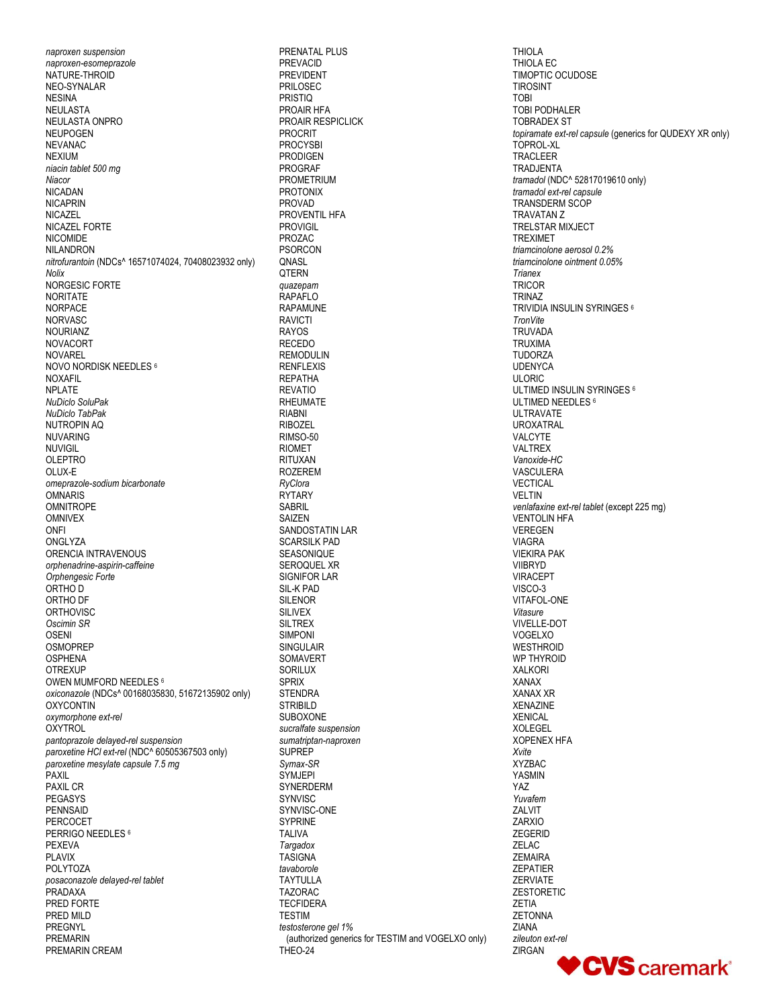*naproxen suspension naproxen-esomeprazole* NATURE-THROID NEO-SYNALAR NESINA NEULASTA NEULASTA ONPRO NEUPOGEN NEVANAC NEXIUM *niacin tablet 500 mg Niacor* NICADAN NICAPRIN NICAZEL NICAZEL FORTE NICOMIDE NILANDRON *nitrofurantoin* (NDCs^ 16571074024, 70408023932 only) *Nolix* NORGESIC FORTE NORITATE NORPACE NORVASC NOURIANZ NOVACORT NOVAREL NOVO NORDISK NEEDLES <sup>6</sup> NOXAFIL NPLATE *NuDiclo SoluPak NuDiclo TabPak* NUTROPIN AQ NUVARING NUVIGIL OLEPTRO OLUX-E *omeprazole-sodium bicarbonate* **OMNARIS** OMNITROPE OMNIVEX ONFI **ONGLYZA** ORENCIA INTRAVENOUS *orphenadrine-aspirin-caffeine Orphengesic Forte* ORTHO D ORTHO DF **ORTHOVISC** *Oscimin SR* OSENI OSMOPREP OSPHENA **OTREXUP** OWEN MUMFORD NEEDLES <sup>6</sup> *oxiconazole* (NDCs^ 00168035830, 51672135902 only) **OXYCONTIN** *oxymorphone ext-rel* **OXYTROL** *pantoprazole delayed-rel suspension paroxetine HCl ext-rel* (NDC^ 60505367503 only) *paroxetine mesylate capsule 7.5 mg* PAXIL PAXIL CR PEGASYS PENNSAID PERCOCET PERRIGO NEEDLES<sup>6</sup> PEXEVA PLAVIX POLYTOZA *posaconazole delayed-rel tablet* PRADAXA PRED FORTE PRED MILD PREGNYL PREMARIN PREMARIN CREAM

PRENATAL PLUS PREVACID PREVIDENT PRILOSEC PRISTIQ PROAIR HFA PROAIR RESPICLICK PROCRIT PROCYSBI **PRODIGEN** PROGRAF PROMETRIUM PROTONIX PROVAD PROVENTIL HFA PROVIGIL PROZAC PSORCON **ONASL OTERN** *quazepam* RAPAFLO RAPAMUNE RAVICTI RAYOS RECEDO REMODULIN RENFLEXIS REPATHA REVATIO RHEUMATE RIABNI RIBOZEL RIMSO-50 RIOMET RITUXAN ROZEREM *RyClora* **RYTARY** SABRIL SAIZEN SANDOSTATIN LAR SCARSILK PAD SEASONIQUE SEROQUEL XR SIGNIFOR LAR SIL-K PAD SILENOR SILIVEX SILTREX SIMPONI SINGULAIR SOMAVERT SORILUX SPRIX **STENDRA STRIBILD** SUBOXONE *sucralfate suspension sumatriptan-naproxen* SUPREP *Symax-SR* **SYMJEPI SYNERDERM** SYNVISC SYNVISC-ONE SYPRINE TALIVA *Targadox* TASIGNA *tavaborole* TAYTULLA TAZORAC **TECFIDERA TFSTIM** *testosterone gel 1% (authorized generics for TESTIM and VOGELXO only)* THEO-24

THIOLA THIOLA EC TIMOPTIC OCUDOSE TIROSINT TOBI TOBI PODHALER TOBRADEX ST *topiramate ext-rel capsule* (generics for QUDEXY XR only) TOPROL-XL TRACLEER TRADJENTA *tramadol* (NDC^ 52817019610 only) *tramadol ext-rel capsule* TRANSDERM SCOP TRAVATAN Z TRELSTAR MIXJECT TREXIMET *triamcinolone aerosol 0.2% triamcinolone ointment 0.05% Trianex* **TRICOR** TRINAZ TRIVIDIA INSULIN SYRINGES <sup>6</sup> *TronVite*  **TRUVADA** TRUXIMA TUDORZA UDENYCA ULORIC ULTIMED INSULIN SYRINGES <sup>6</sup> ULTIMED NEEDLES<sup>6</sup> ULTRAVATE UROXATRAL VALCYTE VALTREX *Vanoxide-HC* VASCULERA VECTICAL VELTIN *venlafaxine ext-rel tablet* (except 225 mg) VENTOLIN HFA VEREGEN VIAGRA VIEKIRA PAK VIIBRYD VIRACEPT VISCO-3 VITAFOL-ONE *Vitasure* VIVELLE-DOT VOGELXO **WESTHROID** WP THYROID XALKORI XANAX XANAX XR XENAZINE XENICAL XOLEGEL XOPENEX HFA *Xvite* XYZBAC YASMIN YAZ *Yuvafem* ZALVIT ZARXIO ZEGERID ZELAC ZEMAIRA ZEPATIER ZERVIATE ZESTORETIC ZETIA **ZETONNA** ZIANA *zileuton ext-rel* ZIRGAN